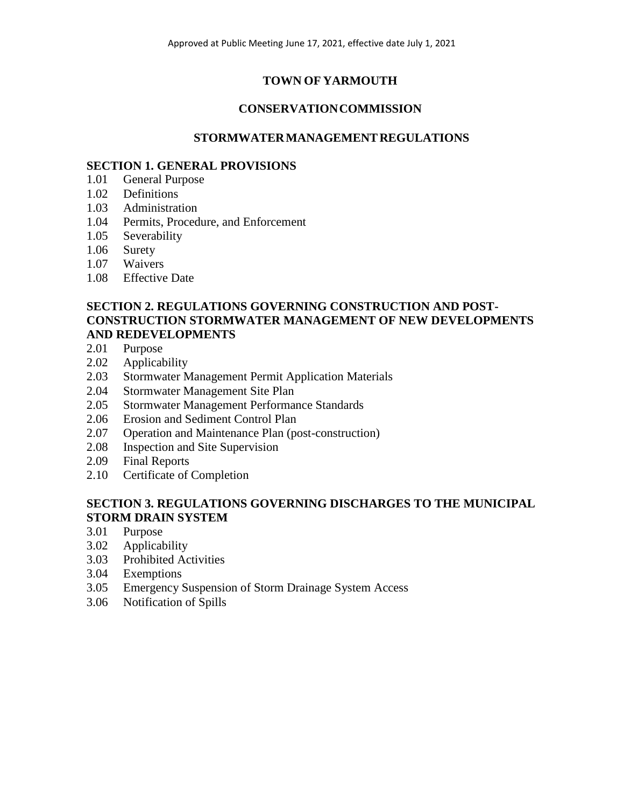# **TOWN OF YARMOUTH**

# **CONSERVATIONCOMMISSION**

# **STORMWATERMANAGEMENT REGULATIONS**

## **SECTION 1. GENERAL PROVISIONS**

- 1.01 General Purpose
- 1.02 Definitions
- 1.03 Administration
- 1.04 Permits, Procedure, and Enforcement
- 1.05 Severability
- 1.06 Surety
- 1.07 Waivers
- 1.08 Effective Date

## **SECTION 2. REGULATIONS GOVERNING CONSTRUCTION AND POST-CONSTRUCTION STORMWATER MANAGEMENT OF NEW DEVELOPMENTS AND REDEVELOPMENTS**

- 2.01 Purpose
- 2.02 Applicability
- 2.03 Stormwater Management Permit Application Materials
- 2.04 Stormwater Management Site Plan
- 2.05 Stormwater Management Performance Standards
- 2.06 Erosion and Sediment Control Plan
- 2.07 Operation and Maintenance Plan (post-construction)
- 2.08 Inspection and Site Supervision
- 2.09 Final Reports
- 2.10 Certificate of Completion

# **SECTION 3. REGULATIONS GOVERNING DISCHARGES TO THE MUNICIPAL STORM DRAIN SYSTEM**

- 3.01 Purpose
- 3.02 Applicability
- 3.03 Prohibited Activities
- 3.04 Exemptions
- 3.05 Emergency Suspension of Storm Drainage System Access
- 3.06 Notification of Spills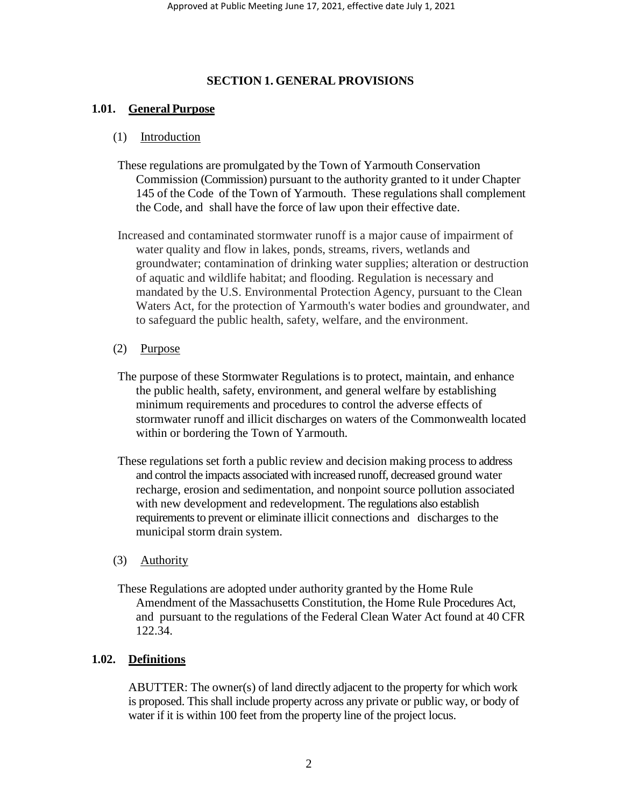## **SECTION 1. GENERAL PROVISIONS**

## **1.01. General Purpose**

### (1) Introduction

- These regulations are promulgated by the Town of Yarmouth Conservation Commission (Commission) pursuant to the authority granted to it under Chapter 145 of the Code of the Town of Yarmouth. These regulations shall complement the Code, and shall have the force of law upon their effective date.
- Increased and contaminated stormwater runoff is a major cause of impairment of water quality and flow in lakes, ponds, streams, rivers, wetlands and groundwater; contamination of drinking water supplies; alteration or destruction of aquatic and wildlife habitat; and flooding. Regulation is necessary and mandated by the U.S. Environmental Protection Agency, pursuant to the Clean Waters Act, for the protection of Yarmouth's water bodies and groundwater, and to safeguard the public health, safety, welfare, and the environment.

### (2) Purpose

- The purpose of these Stormwater Regulations is to protect, maintain, and enhance the public health, safety, environment, and general welfare by establishing minimum requirements and procedures to control the adverse effects of stormwater runoff and illicit discharges on waters of the Commonwealth located within or bordering the Town of Yarmouth.
- These regulations set forth a public review and decision making process to address and control the impacts associated with increased runoff, decreased ground water recharge, erosion and sedimentation, and nonpoint source pollution associated with new development and redevelopment. The regulations also establish requirements to prevent or eliminate illicit connections and discharges to the municipal storm drain system.

### (3) Authority

These Regulations are adopted under authority granted by the Home Rule Amendment of the Massachusetts Constitution, the Home Rule Procedures Act, and pursuant to the regulations of the Federal Clean Water Act found at 40 CFR 122.34.

### **1.02. Definitions**

ABUTTER: The owner(s) of land directly adjacent to the property for which work is proposed. This shall include property across any private or public way, or body of water if it is within 100 feet from the property line of the project locus.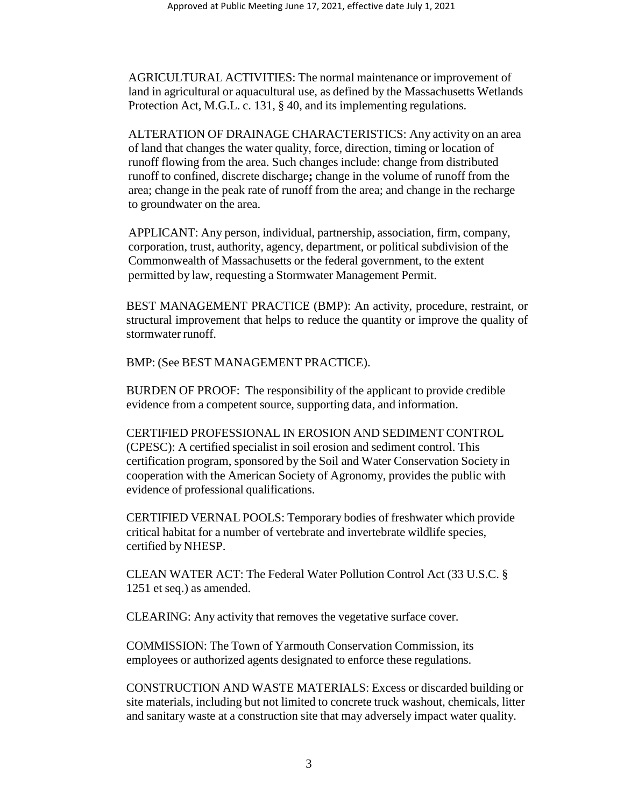AGRICULTURAL ACTIVITIES: The normal maintenance or improvement of land in agricultural or aquacultural use, as defined by the Massachusetts Wetlands Protection Act, M.G.L. c. 131, § 40, and its implementing regulations.

ALTERATION OF DRAINAGE CHARACTERISTICS: Any activity on an area of land that changes the water quality, force, direction, timing or location of runoff flowing from the area. Such changes include: change from distributed runoff to confined, discrete discharge**;** change in the volume of runoff from the area; change in the peak rate of runoff from the area; and change in the recharge to groundwater on the area.

APPLICANT: Any person, individual, partnership, association, firm, company, corporation, trust, authority, agency, department, or political subdivision of the Commonwealth of Massachusetts or the federal government, to the extent permitted by law, requesting a Stormwater Management Permit.

BEST MANAGEMENT PRACTICE (BMP): An activity, procedure, restraint, or structural improvement that helps to reduce the quantity or improve the quality of stormwater runoff.

BMP: (See BEST MANAGEMENT PRACTICE).

BURDEN OF PROOF: The responsibility of the applicant to provide credible evidence from a competent source, supporting data, and information.

CERTIFIED PROFESSIONAL IN EROSION AND SEDIMENT CONTROL (CPESC): A certified specialist in soil erosion and sediment control. This certification program, sponsored by the Soil and Water Conservation Society in cooperation with the American Society of Agronomy, provides the public with evidence of professional qualifications.

CERTIFIED VERNAL POOLS: Temporary bodies of freshwater which provide critical habitat for a number of vertebrate and invertebrate wildlife species, certified by NHESP.

CLEAN WATER ACT: The Federal Water Pollution Control Act (33 U.S.C. § 1251 et seq.) as amended.

CLEARING: Any activity that removes the vegetative surface cover.

COMMISSION: The Town of Yarmouth Conservation Commission, its employees or authorized agents designated to enforce these regulations.

CONSTRUCTION AND WASTE MATERIALS: Excess or discarded building or site materials, including but not limited to concrete truck washout, chemicals, litter and sanitary waste at a construction site that may adversely impact water quality.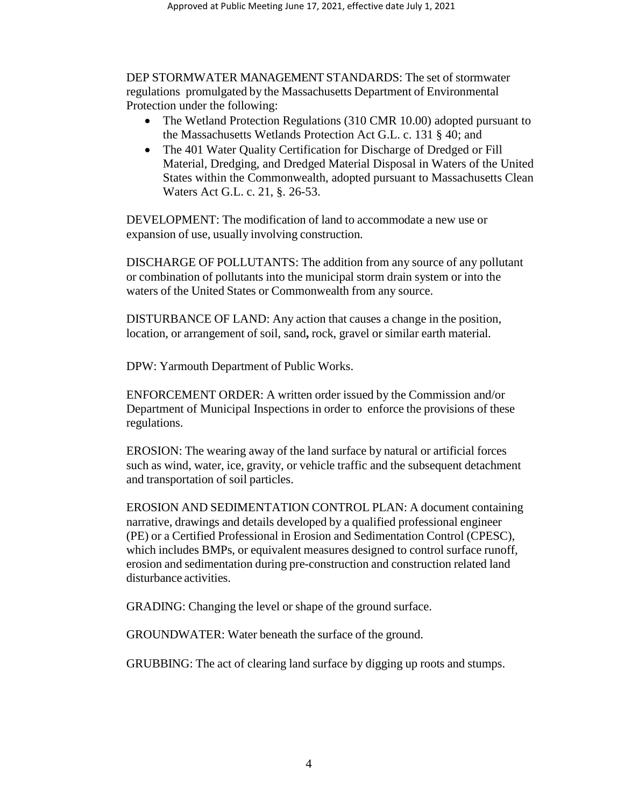DEP STORMWATER MANAGEMENT STANDARDS: The set of stormwater regulations promulgated by the Massachusetts Department of Environmental Protection under the following:

- The Wetland Protection Regulations (310 CMR 10.00) adopted pursuant to the Massachusetts Wetlands Protection Act G.L. c. 131 § 40; and
- The 401 Water Quality Certification for Discharge of Dredged or Fill Material, Dredging, and Dredged Material Disposal in Waters of the United States within the Commonwealth, adopted pursuant to Massachusetts Clean Waters Act G.L. c. 21, §. 26-53.

DEVELOPMENT: The modification of land to accommodate a new use or expansion of use, usually involving construction.

DISCHARGE OF POLLUTANTS: The addition from any source of any pollutant or combination of pollutants into the municipal storm drain system or into the waters of the United States or Commonwealth from any source.

DISTURBANCE OF LAND: Any action that causes a change in the position, location, or arrangement of soil, sand**,** rock, gravel or similar earth material.

DPW: Yarmouth Department of Public Works.

ENFORCEMENT ORDER: A written order issued by the Commission and/or Department of Municipal Inspections in order to enforce the provisions of these regulations.

EROSION: The wearing away of the land surface by natural or artificial forces such as wind, water, ice, gravity, or vehicle traffic and the subsequent detachment and transportation of soil particles.

EROSION AND SEDIMENTATION CONTROL PLAN: A document containing narrative, drawings and details developed by a qualified professional engineer (PE) or a Certified Professional in Erosion and Sedimentation Control (CPESC), which includes BMPs, or equivalent measures designed to control surface runoff, erosion and sedimentation during pre-construction and construction related land disturbance activities.

GRADING: Changing the level or shape of the ground surface.

GROUNDWATER: Water beneath the surface of the ground.

GRUBBING: The act of clearing land surface by digging up roots and stumps.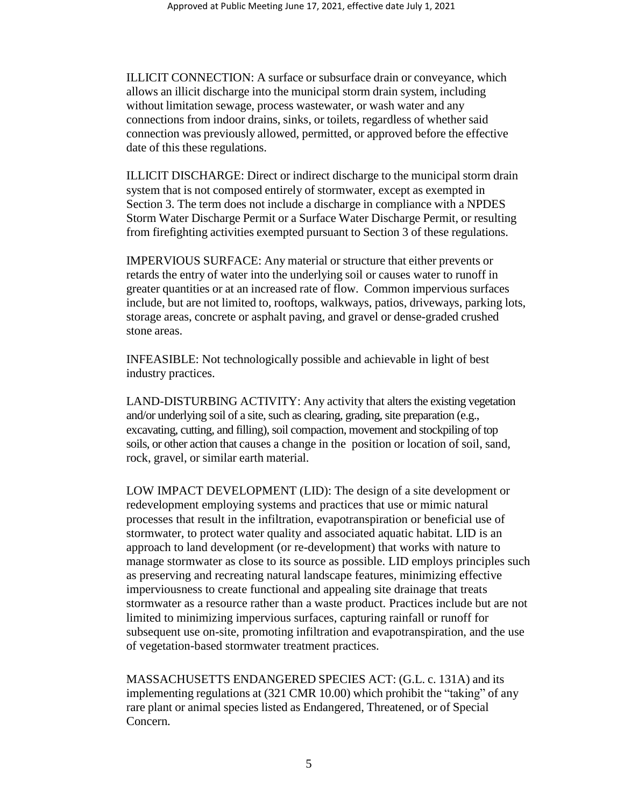ILLICIT CONNECTION: A surface or subsurface drain or conveyance, which allows an illicit discharge into the municipal storm drain system, including without limitation sewage, process wastewater, or wash water and any connections from indoor drains, sinks, or toilets, regardless of whether said connection was previously allowed, permitted, or approved before the effective date of this these regulations.

ILLICIT DISCHARGE: Direct or indirect discharge to the municipal storm drain system that is not composed entirely of stormwater, except as exempted in Section 3. The term does not include a discharge in compliance with a NPDES Storm Water Discharge Permit or a Surface Water Discharge Permit, or resulting from firefighting activities exempted pursuant to Section 3 of these regulations.

IMPERVIOUS SURFACE: Any material or structure that either prevents or retards the entry of water into the underlying soil or causes water to runoff in greater quantities or at an increased rate of flow. Common impervious surfaces include, but are not limited to, rooftops, walkways, patios, driveways, parking lots, storage areas, concrete or asphalt paving, and gravel or dense-graded crushed stone areas.

INFEASIBLE: Not technologically possible and achievable in light of best industry practices.

LAND-DISTURBING ACTIVITY: Any activity that alters the existing vegetation and/or underlying soil of a site, such as clearing, grading, site preparation (e.g., excavating, cutting, and filling), soil compaction, movement and stockpiling of top soils, or other action that causes a change in the position or location of soil, sand, rock, gravel, or similar earth material.

LOW IMPACT DEVELOPMENT (LID): The design of a site development or redevelopment employing systems and practices that use or mimic natural processes that result in the infiltration, evapotranspiration or beneficial use of stormwater, to protect water quality and associated aquatic habitat. LID is an approach to land development (or re-development) that works with nature to manage stormwater as close to its source as possible. LID employs principles such as preserving and recreating natural landscape features, minimizing effective imperviousness to create functional and appealing site drainage that treats stormwater as a resource rather than a waste product. Practices include but are not limited to minimizing impervious surfaces, capturing rainfall or runoff for subsequent use on-site, promoting infiltration and evapotranspiration, and the use of vegetation-based stormwater treatment practices.

MASSACHUSETTS ENDANGERED SPECIES ACT: (G.L. c. 131A) and its implementing regulations at (321 CMR 10.00) which prohibit the "taking" of any rare plant or animal species listed as Endangered, Threatened, or of Special Concern.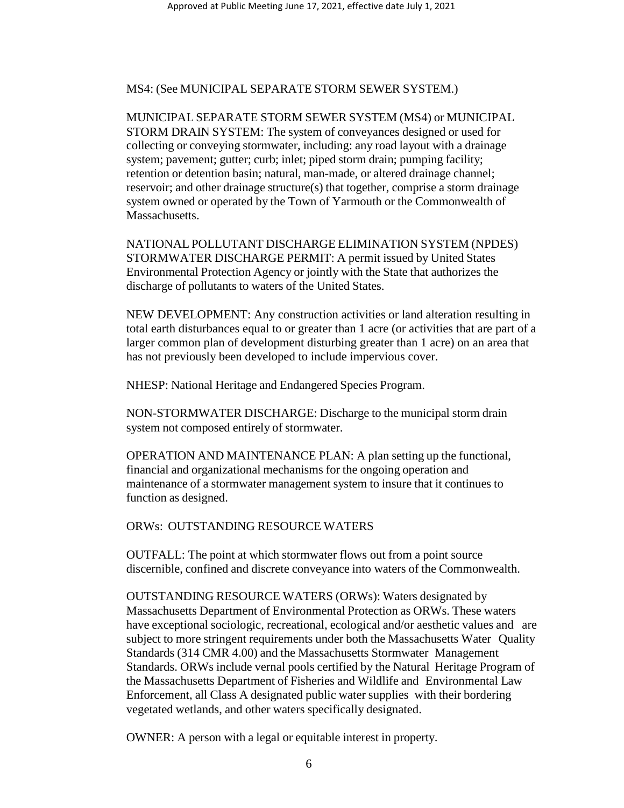MS4: (See MUNICIPAL SEPARATE STORM SEWER SYSTEM.)

MUNICIPAL SEPARATE STORM SEWER SYSTEM (MS4) or MUNICIPAL STORM DRAIN SYSTEM: The system of conveyances designed or used for collecting or conveying stormwater, including: any road layout with a drainage system; pavement; gutter; curb; inlet; piped storm drain; pumping facility; retention or detention basin; natural, man-made, or altered drainage channel; reservoir; and other drainage structure(s) that together, comprise a storm drainage system owned or operated by the Town of Yarmouth or the Commonwealth of Massachusetts.

NATIONAL POLLUTANT DISCHARGE ELIMINATION SYSTEM (NPDES) STORMWATER DISCHARGE PERMIT: A permit issued by United States Environmental Protection Agency or jointly with the State that authorizes the discharge of pollutants to waters of the United States.

NEW DEVELOPMENT: Any construction activities or land alteration resulting in total earth disturbances equal to or greater than 1 acre (or activities that are part of a larger common plan of development disturbing greater than 1 acre) on an area that has not previously been developed to include impervious cover.

NHESP: National Heritage and Endangered Species Program.

NON-STORMWATER DISCHARGE: Discharge to the municipal storm drain system not composed entirely of stormwater.

OPERATION AND MAINTENANCE PLAN: A plan setting up the functional, financial and organizational mechanisms for the ongoing operation and maintenance of a stormwater management system to insure that it continues to function as designed.

ORWs: OUTSTANDING RESOURCE WATERS

OUTFALL: The point at which stormwater flows out from a point source discernible, confined and discrete conveyance into waters of the Commonwealth.

OUTSTANDING RESOURCE WATERS (ORWs): Waters designated by Massachusetts Department of Environmental Protection as ORWs. These waters have exceptional sociologic, recreational, ecological and/or aesthetic values and are subject to more stringent requirements under both the Massachusetts Water Quality Standards (314 CMR 4.00) and the Massachusetts Stormwater Management Standards. ORWs include vernal pools certified by the Natural Heritage Program of the Massachusetts Department of Fisheries and Wildlife and Environmental Law Enforcement, all Class A designated public water supplies with their bordering vegetated wetlands, and other waters specifically designated.

OWNER: A person with a legal or equitable interest in property.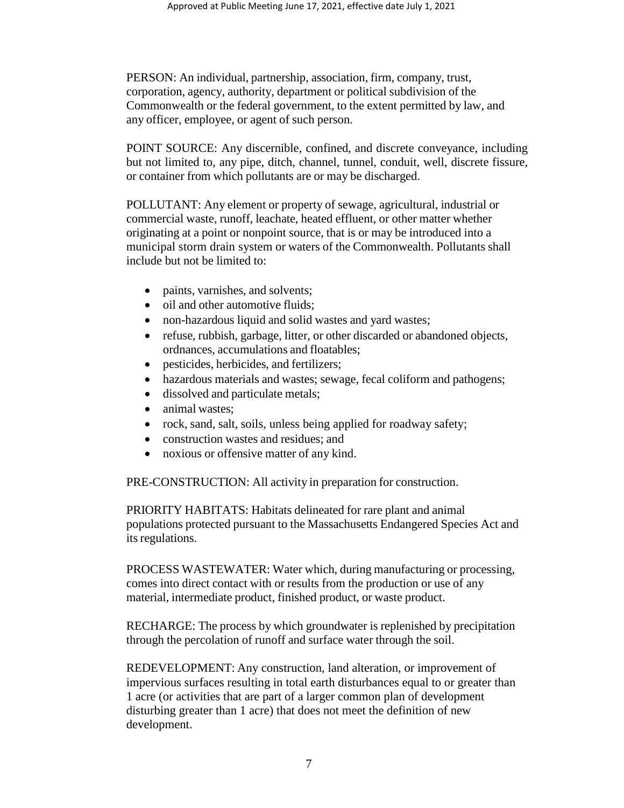PERSON: An individual, partnership, association, firm, company, trust, corporation, agency, authority, department or political subdivision of the Commonwealth or the federal government, to the extent permitted by law, and any officer, employee, or agent of such person.

POINT SOURCE: Any discernible, confined, and discrete conveyance, including but not limited to, any pipe, ditch, channel, tunnel, conduit, well, discrete fissure, or container from which pollutants are or may be discharged.

POLLUTANT: Any element or property of sewage, agricultural, industrial or commercial waste, runoff, leachate, heated effluent, or other matter whether originating at a point or nonpoint source, that is or may be introduced into a municipal storm drain system or waters of the Commonwealth. Pollutants shall include but not be limited to:

- paints, varnishes, and solvents;
- oil and other automotive fluids:
- non-hazardous liquid and solid wastes and yard wastes;
- refuse, rubbish, garbage, litter, or other discarded or abandoned objects, ordnances, accumulations and floatables;
- pesticides, herbicides, and fertilizers;
- hazardous materials and wastes; sewage, fecal coliform and pathogens;
- dissolved and particulate metals;
- animal wastes;
- rock, sand, salt, soils, unless being applied for roadway safety;
- construction wastes and residues; and
- noxious or offensive matter of any kind.

PRE-CONSTRUCTION: All activity in preparation for construction.

PRIORITY HABITATS: Habitats delineated for rare plant and animal populations protected pursuant to the Massachusetts Endangered Species Act and its regulations.

PROCESS WASTEWATER: Water which, during manufacturing or processing, comes into direct contact with or results from the production or use of any material, intermediate product, finished product, or waste product.

RECHARGE: The process by which groundwater is replenished by precipitation through the percolation of runoff and surface water through the soil.

REDEVELOPMENT: Any construction, land alteration, or improvement of impervious surfaces resulting in total earth disturbances equal to or greater than 1 acre (or activities that are part of a larger common plan of development disturbing greater than 1 acre) that does not meet the definition of new development.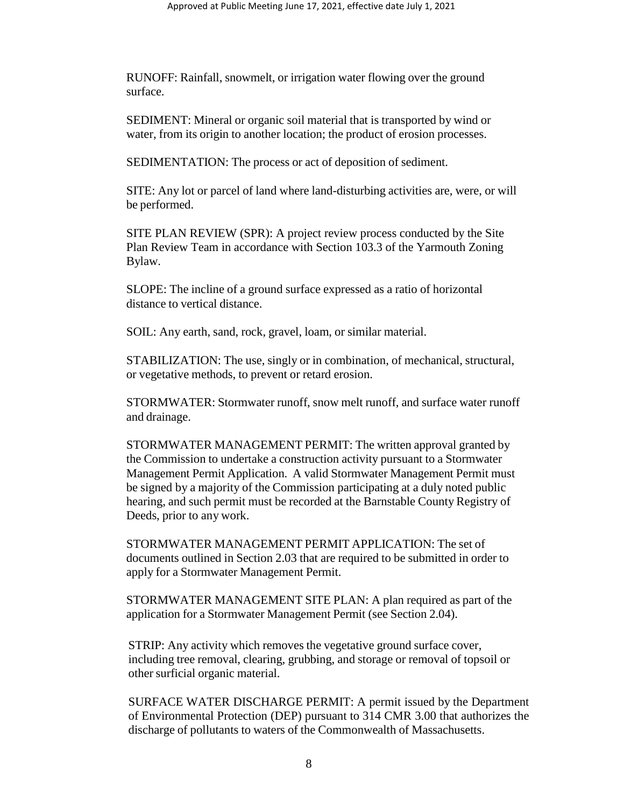RUNOFF: Rainfall, snowmelt, or irrigation water flowing over the ground surface.

SEDIMENT: Mineral or organic soil material that is transported by wind or water, from its origin to another location; the product of erosion processes.

SEDIMENTATION: The process or act of deposition of sediment.

SITE: Any lot or parcel of land where land-disturbing activities are, were, or will be performed.

SITE PLAN REVIEW (SPR): A project review process conducted by the Site Plan Review Team in accordance with Section 103.3 of the Yarmouth Zoning Bylaw.

SLOPE: The incline of a ground surface expressed as a ratio of horizontal distance to vertical distance.

SOIL: Any earth, sand, rock, gravel, loam, or similar material.

STABILIZATION: The use, singly or in combination, of mechanical, structural, or vegetative methods, to prevent or retard erosion.

STORMWATER: Stormwater runoff, snow melt runoff, and surface water runoff and drainage.

STORMWATER MANAGEMENT PERMIT: The written approval granted by the Commission to undertake a construction activity pursuant to a Stormwater Management Permit Application. A valid Stormwater Management Permit must be signed by a majority of the Commission participating at a duly noted public hearing, and such permit must be recorded at the Barnstable County Registry of Deeds, prior to any work.

STORMWATER MANAGEMENT PERMIT APPLICATION: The set of documents outlined in Section 2.03 that are required to be submitted in order to apply for a Stormwater Management Permit.

STORMWATER MANAGEMENT SITE PLAN: A plan required as part of the application for a Stormwater Management Permit (see Section 2.04).

STRIP: Any activity which removes the vegetative ground surface cover, including tree removal, clearing, grubbing, and storage or removal of topsoil or other surficial organic material.

SURFACE WATER DISCHARGE PERMIT: A permit issued by the Department of Environmental Protection (DEP) pursuant to 314 CMR 3.00 that authorizes the discharge of pollutants to waters of the Commonwealth of Massachusetts.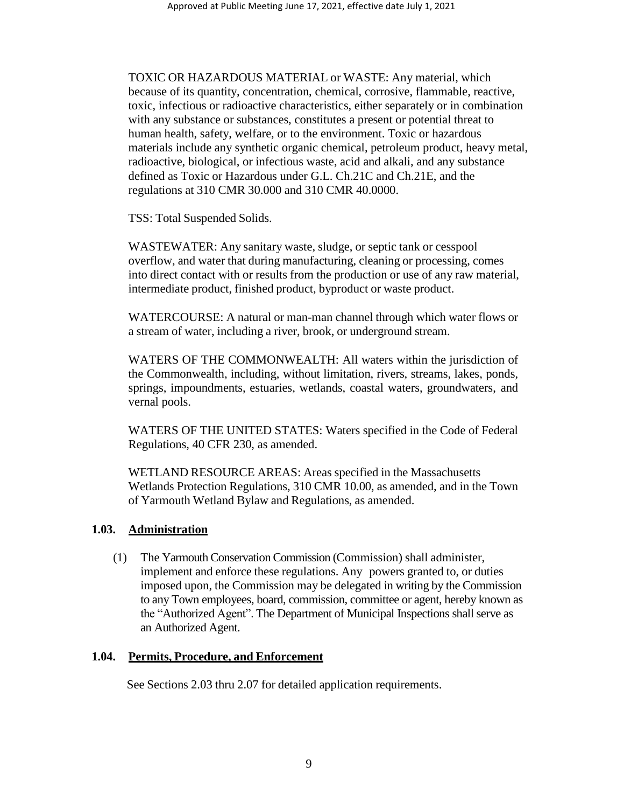TOXIC OR HAZARDOUS MATERIAL or WASTE: Any material, which because of its quantity, concentration, chemical, corrosive, flammable, reactive, toxic, infectious or radioactive characteristics, either separately or in combination with any substance or substances, constitutes a present or potential threat to human health, safety, welfare, or to the environment. Toxic or hazardous materials include any synthetic organic chemical, petroleum product, heavy metal, radioactive, biological, or infectious waste, acid and alkali, and any substance defined as Toxic or Hazardous under G.L. Ch.21C and Ch.21E, and the regulations at 310 CMR 30.000 and 310 CMR 40.0000.

TSS: Total Suspended Solids.

WASTEWATER: Any sanitary waste, sludge, or septic tank or cesspool overflow, and water that during manufacturing, cleaning or processing, comes into direct contact with or results from the production or use of any raw material, intermediate product, finished product, byproduct or waste product.

WATERCOURSE: A natural or man-man channel through which water flows or a stream of water, including a river, brook, or underground stream.

WATERS OF THE COMMONWEALTH: All waters within the jurisdiction of the Commonwealth, including, without limitation, rivers, streams, lakes, ponds, springs, impoundments, estuaries, wetlands, coastal waters, groundwaters, and vernal pools.

WATERS OF THE UNITED STATES: Waters specified in the Code of Federal Regulations, 40 CFR 230, as amended.

WETLAND RESOURCE AREAS: Areas specified in the Massachusetts Wetlands Protection Regulations, 310 CMR 10.00, as amended, and in the Town of Yarmouth Wetland Bylaw and Regulations, as amended.

### **1.03. Administration**

(1) The Yarmouth Conservation Commission (Commission) shall administer, implement and enforce these regulations. Any powers granted to, or duties imposed upon, the Commission may be delegated in writing by the Commission to any Town employees, board, commission, committee or agent, hereby known as the "Authorized Agent". The Department of Municipal Inspections shall serve as an Authorized Agent.

## **1.04. Permits, Procedure, and Enforcement**

See Sections 2.03 thru 2.07 for detailed application requirements.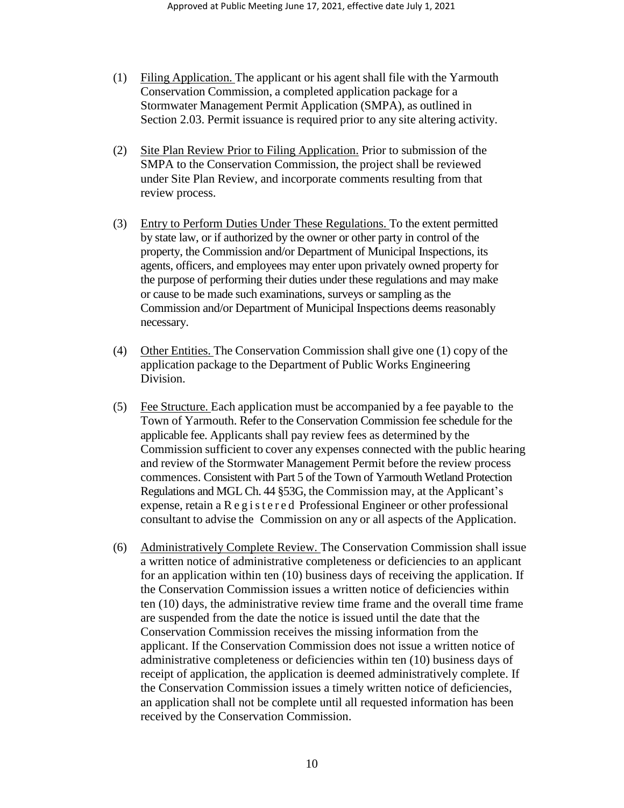- (1) Filing Application. The applicant or his agent shall file with the Yarmouth Conservation Commission, a completed application package for a Stormwater Management Permit Application (SMPA), as outlined in Section 2.03. Permit issuance is required prior to any site altering activity.
- (2) Site Plan Review Prior to Filing Application. Prior to submission of the SMPA to the Conservation Commission, the project shall be reviewed under Site Plan Review, and incorporate comments resulting from that review process.
- (3) Entry to Perform Duties Under These Regulations. To the extent permitted by state law, or if authorized by the owner or other party in control of the property, the Commission and/or Department of Municipal Inspections, its agents, officers, and employees may enter upon privately owned property for the purpose of performing their duties under these regulations and may make or cause to be made such examinations, surveys or sampling as the Commission and/or Department of Municipal Inspections deems reasonably necessary.
- (4) Other Entities. The Conservation Commission shall give one (1) copy of the application package to the Department of Public Works Engineering Division.
- (5) Fee Structure. Each application must be accompanied by a fee payable to the Town of Yarmouth. Refer to the Conservation Commission fee schedule for the applicable fee. Applicants shall pay review fees as determined by the Commission sufficient to cover any expenses connected with the public hearing and review of the Stormwater Management Permit before the review process commences. Consistent with Part 5 of the Town of Yarmouth Wetland Protection Regulations and MGL Ch. 44 §53G, the Commission may, at the Applicant's expense, retain a R e g i s t e r e d Professional Engineer or other professional consultant to advise the Commission on any or all aspects of the Application.
- (6) Administratively Complete Review. The Conservation Commission shall issue a written notice of administrative completeness or deficiencies to an applicant for an application within ten (10) business days of receiving the application. If the Conservation Commission issues a written notice of deficiencies within ten (10) days, the administrative review time frame and the overall time frame are suspended from the date the notice is issued until the date that the Conservation Commission receives the missing information from the applicant. If the Conservation Commission does not issue a written notice of administrative completeness or deficiencies within ten (10) business days of receipt of application, the application is deemed administratively complete. If the Conservation Commission issues a timely written notice of deficiencies, an application shall not be complete until all requested information has been received by the Conservation Commission.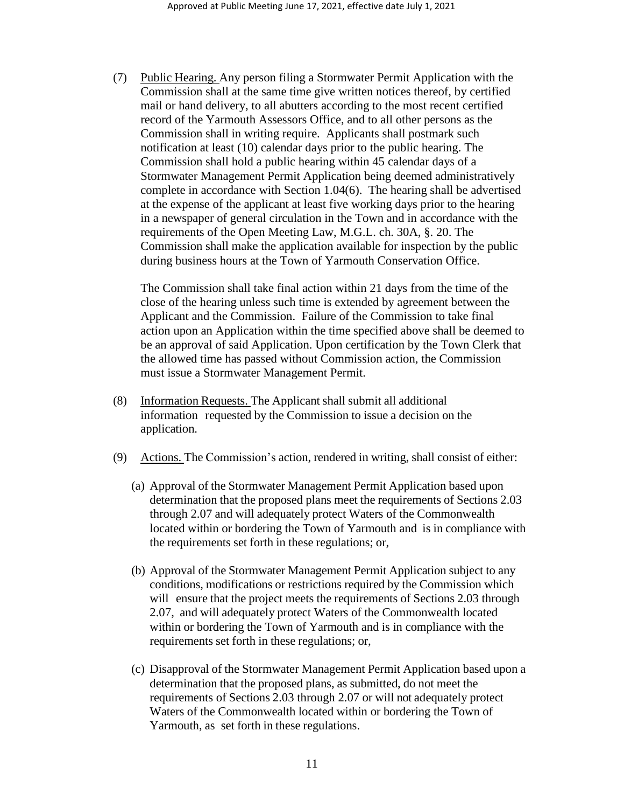(7) Public Hearing. Any person filing a Stormwater Permit Application with the Commission shall at the same time give written notices thereof, by certified mail or hand delivery, to all abutters according to the most recent certified record of the Yarmouth Assessors Office, and to all other persons as the Commission shall in writing require. Applicants shall postmark such notification at least (10) calendar days prior to the public hearing. The Commission shall hold a public hearing within 45 calendar days of a Stormwater Management Permit Application being deemed administratively complete in accordance with Section  $1.04(6)$ . The hearing shall be advertised at the expense of the applicant at least five working days prior to the hearing in a newspaper of general circulation in the Town and in accordance with the requirements of the Open Meeting Law, M.G.L. ch. 30A, §. 20. The Commission shall make the application available for inspection by the public during business hours at the Town of Yarmouth Conservation Office.

The Commission shall take final action within 21 days from the time of the close of the hearing unless such time is extended by agreement between the Applicant and the Commission. Failure of the Commission to take final action upon an Application within the time specified above shall be deemed to be an approval of said Application. Upon certification by the Town Clerk that the allowed time has passed without Commission action, the Commission must issue a Stormwater Management Permit.

- (8) Information Requests. The Applicant shall submit all additional information requested by the Commission to issue a decision on the application.
- (9) Actions. The Commission's action, rendered in writing, shall consist of either:
	- (a) Approval of the Stormwater Management Permit Application based upon determination that the proposed plans meet the requirements of Sections 2.03 through 2.07 and will adequately protect Waters of the Commonwealth located within or bordering the Town of Yarmouth and is in compliance with the requirements set forth in these regulations; or,
	- (b) Approval of the Stormwater Management Permit Application subject to any conditions, modifications or restrictions required by the Commission which will ensure that the project meets the requirements of Sections 2.03 through 2.07, and will adequately protect Waters of the Commonwealth located within or bordering the Town of Yarmouth and is in compliance with the requirements set forth in these regulations; or,
	- (c) Disapproval of the Stormwater Management Permit Application based upon a determination that the proposed plans, as submitted, do not meet the requirements of Sections 2.03 through 2.07 or will not adequately protect Waters of the Commonwealth located within or bordering the Town of Yarmouth, as set forth in these regulations.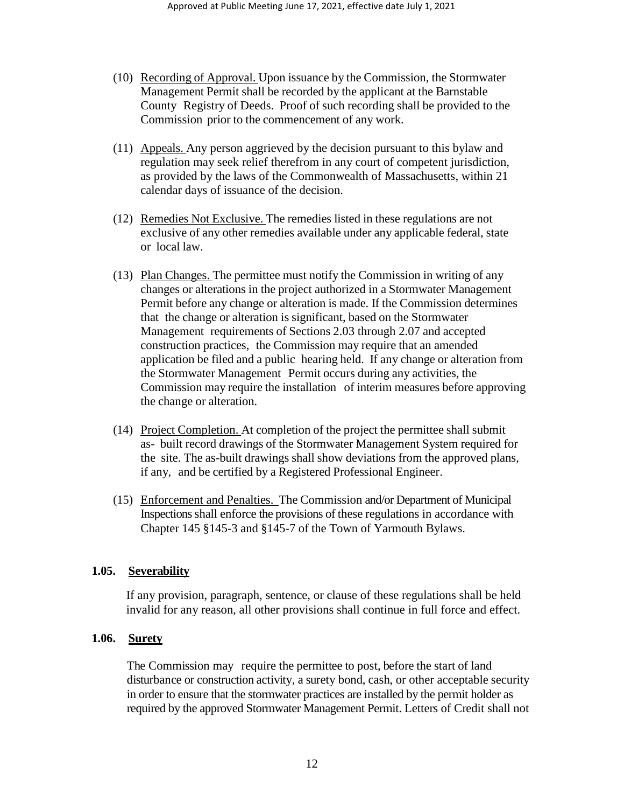- (10) Recording of Approval. Upon issuance by the Commission, the Stormwater Management Permit shall be recorded by the applicant at the Barnstable County Registry of Deeds. Proof of such recording shall be provided to the Commission prior to the commencement of any work.
- (11) Appeals. Any person aggrieved by the decision pursuant to this bylaw and regulation may seek relief therefrom in any court of competent jurisdiction, as provided by the laws of the Commonwealth of Massachusetts, within 21 calendar days of issuance of the decision.
- (12) Remedies Not Exclusive. The remedies listed in these regulations are not exclusive of any other remedies available under any applicable federal, state or local law.
- (13) Plan Changes. The permittee must notify the Commission in writing of any changes or alterations in the project authorized in a Stormwater Management Permit before any change or alteration is made. If the Commission determines that the change or alteration is significant, based on the Stormwater Management requirements of Sections 2.03 through 2.07 and accepted construction practices, the Commission may require that an amended application be filed and a public hearing held. If any change or alteration from the Stormwater Management Permit occurs during any activities, the Commission may require the installation of interim measures before approving the change or alteration.
- (14) Project Completion. At completion of the project the permittee shall submit as- built record drawings of the Stormwater Management System required for the site. The as-built drawings shall show deviations from the approved plans, if any, and be certified by a Registered Professional Engineer.
- (15) Enforcement and Penalties. The Commission and/or Department of Municipal Inspections shall enforce the provisions of these regulations in accordance with Chapter 145 §145-3 and §145-7 of the Town of Yarmouth Bylaws.

### **1.05. Severability**

If any provision, paragraph, sentence, or clause of these regulations shall be held invalid for any reason, all other provisions shall continue in full force and effect.

#### **1.06. Surety**

The Commission may require the permittee to post, before the start of land disturbance or construction activity, a surety bond, cash, or other acceptable security in order to ensure that the stormwater practices are installed by the permit holder as required by the approved Stormwater Management Permit. Letters of Credit shall not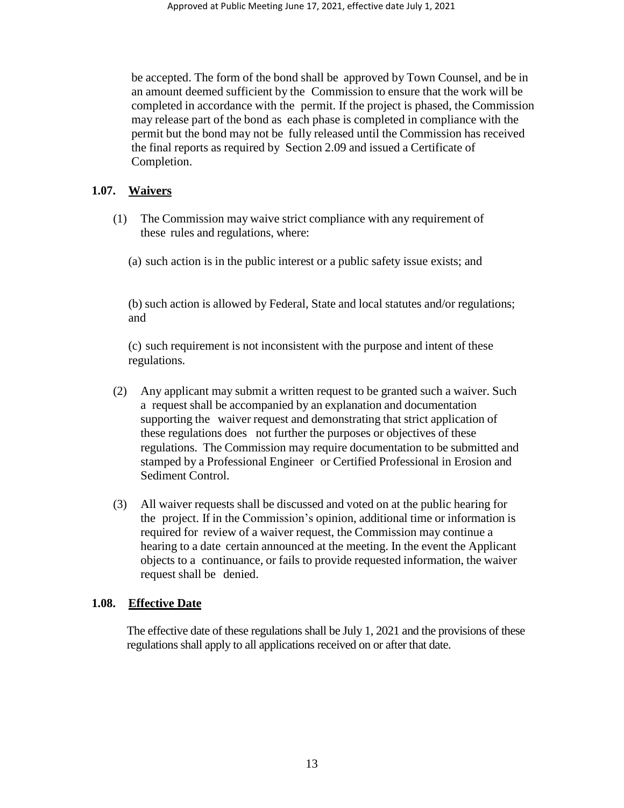be accepted. The form of the bond shall be approved by Town Counsel, and be in an amount deemed sufficient by the Commission to ensure that the work will be completed in accordance with the permit. If the project is phased, the Commission may release part of the bond as each phase is completed in compliance with the permit but the bond may not be fully released until the Commission has received the final reports as required by Section 2.09 and issued a Certificate of Completion.

# **1.07. Waivers**

- (1) The Commission may waive strict compliance with any requirement of these rules and regulations, where:
	- (a) such action is in the public interest or a public safety issue exists; and

(b) such action is allowed by Federal, State and local statutes and/or regulations; and

(c) such requirement is not inconsistent with the purpose and intent of these regulations.

- (2) Any applicant may submit a written request to be granted such a waiver. Such a request shall be accompanied by an explanation and documentation supporting the waiver request and demonstrating that strict application of these regulations does not further the purposes or objectives of these regulations. The Commission may require documentation to be submitted and stamped by a Professional Engineer or Certified Professional in Erosion and Sediment Control.
- (3) All waiver requests shall be discussed and voted on at the public hearing for the project. If in the Commission's opinion, additional time or information is required for review of a waiver request, the Commission may continue a hearing to a date certain announced at the meeting. In the event the Applicant objects to a continuance, or fails to provide requested information, the waiver request shall be denied.

# **1.08. Effective Date**

The effective date of these regulations shall be July 1, 2021 and the provisions of these regulations shall apply to all applications received on or after that date.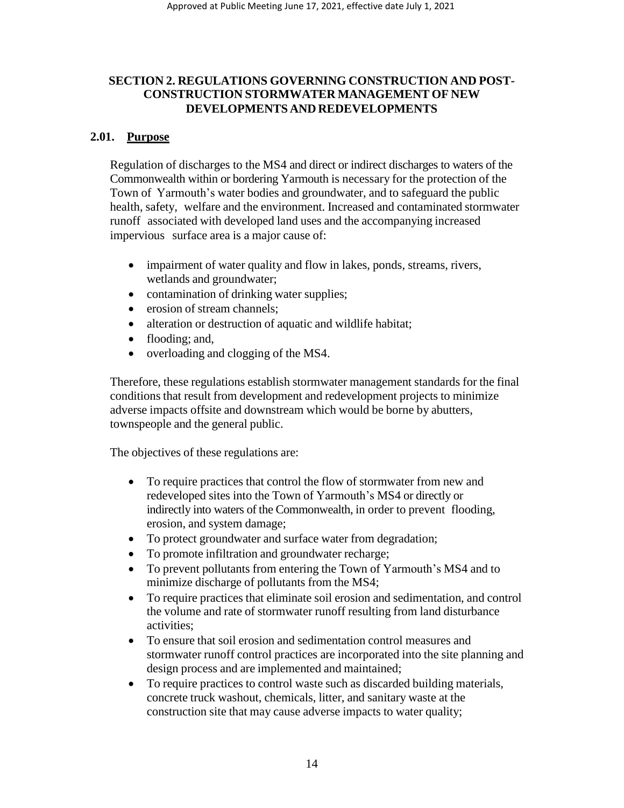## **SECTION 2. REGULATIONS GOVERNING CONSTRUCTION AND POST-CONSTRUCTION STORMWATER MANAGEMENT OF NEW DEVELOPMENTS AND REDEVELOPMENTS**

## **2.01. Purpose**

Regulation of discharges to the MS4 and direct or indirect discharges to waters of the Commonwealth within or bordering Yarmouth is necessary for the protection of the Town of Yarmouth's water bodies and groundwater, and to safeguard the public health, safety, welfare and the environment. Increased and contaminated stormwater runoff associated with developed land uses and the accompanying increased impervious surface area is a major cause of:

- impairment of water quality and flow in lakes, ponds, streams, rivers, wetlands and groundwater;
- contamination of drinking water supplies;
- erosion of stream channels;
- alteration or destruction of aquatic and wildlife habitat;
- flooding; and,
- overloading and clogging of the MS4.

Therefore, these regulations establish stormwater management standards for the final conditions that result from development and redevelopment projects to minimize adverse impacts offsite and downstream which would be borne by abutters, townspeople and the general public.

The objectives of these regulations are:

- To require practices that control the flow of stormwater from new and redeveloped sites into the Town of Yarmouth's MS4 or directly or indirectly into waters of the Commonwealth, in order to prevent flooding, erosion, and system damage;
- To protect groundwater and surface water from degradation;
- To promote infiltration and groundwater recharge;
- To prevent pollutants from entering the Town of Yarmouth's MS4 and to minimize discharge of pollutants from the MS4;
- To require practices that eliminate soil erosion and sedimentation, and control the volume and rate of stormwater runoff resulting from land disturbance activities;
- To ensure that soil erosion and sedimentation control measures and stormwater runoff control practices are incorporated into the site planning and design process and are implemented and maintained;
- To require practices to control waste such as discarded building materials, concrete truck washout, chemicals, litter, and sanitary waste at the construction site that may cause adverse impacts to water quality;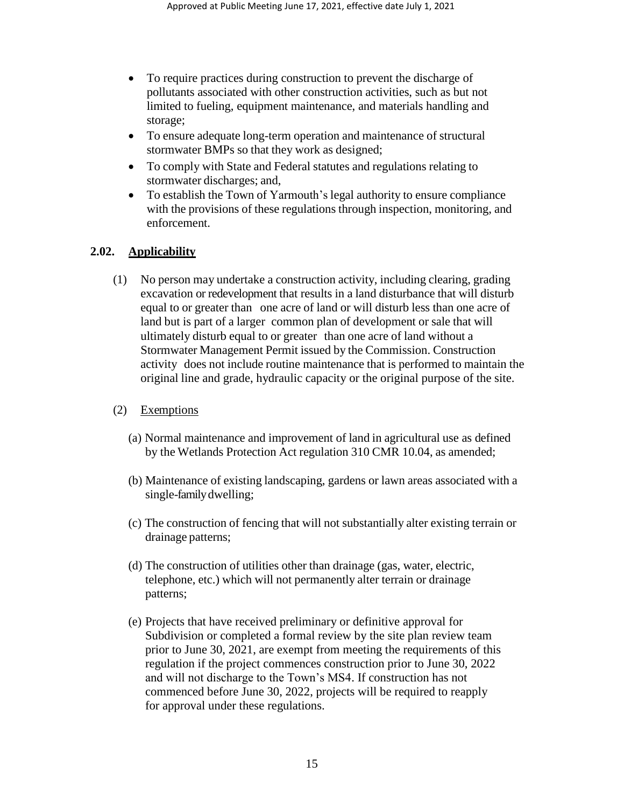- To require practices during construction to prevent the discharge of pollutants associated with other construction activities, such as but not limited to fueling, equipment maintenance, and materials handling and storage;
- To ensure adequate long-term operation and maintenance of structural stormwater BMPs so that they work as designed;
- To comply with State and Federal statutes and regulations relating to stormwater discharges; and,
- To establish the Town of Yarmouth's legal authority to ensure compliance with the provisions of these regulations through inspection, monitoring, and enforcement.

# **2.02. Applicability**

- (1) No person may undertake a construction activity, including clearing, grading excavation or redevelopment that results in a land disturbance that will disturb equal to or greater than one acre of land or will disturb less than one acre of land but is part of a larger common plan of development or sale that will ultimately disturb equal to or greater than one acre of land without a Stormwater Management Permit issued by the Commission. Construction activity does not include routine maintenance that is performed to maintain the original line and grade, hydraulic capacity or the original purpose of the site.
- (2) Exemptions
	- (a) Normal maintenance and improvement of land in agricultural use as defined by the Wetlands Protection Act regulation 310 CMR 10.04, as amended;
	- (b) Maintenance of existing landscaping, gardens or lawn areas associated with a single-family dwelling;
	- (c) The construction of fencing that will not substantially alter existing terrain or drainage patterns;
	- (d) The construction of utilities other than drainage (gas, water, electric, telephone, etc.) which will not permanently alter terrain or drainage patterns;
	- (e) Projects that have received preliminary or definitive approval for Subdivision or completed a formal review by the site plan review team prior to June 30, 2021, are exempt from meeting the requirements of this regulation if the project commences construction prior to June 30, 2022 and will not discharge to the Town's MS4. If construction has not commenced before June 30, 2022, projects will be required to reapply for approval under these regulations.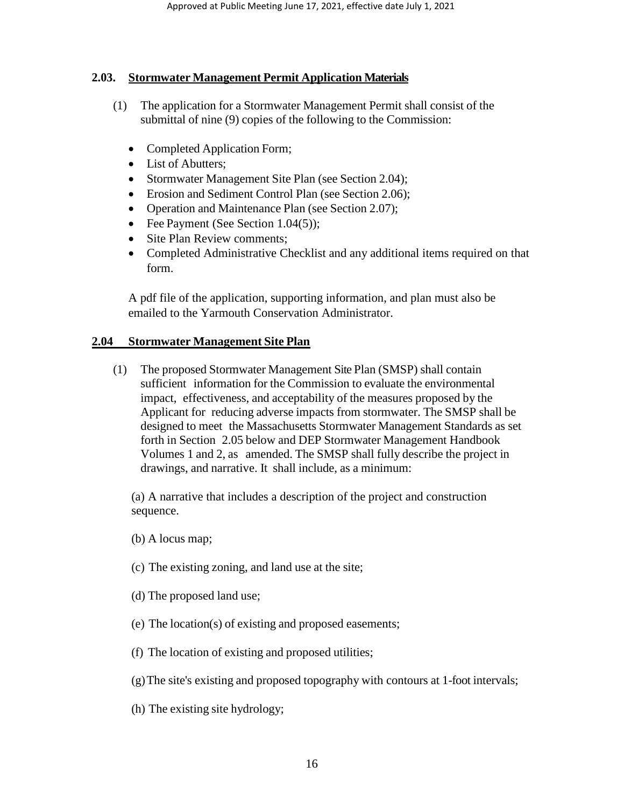## **2.03. Stormwater Management Permit Application Materials**

- (1) The application for a Stormwater Management Permit shall consist of the submittal of nine (9) copies of the following to the Commission:
	- Completed Application Form;
	- List of Abutters;
	- Stormwater Management Site Plan (see Section 2.04);
	- Erosion and Sediment Control Plan (see Section 2.06);
	- Operation and Maintenance Plan (see Section 2.07);
	- Fee Payment (See Section 1.04(5));
	- Site Plan Review comments:
	- Completed Administrative Checklist and any additional items required on that form.

A pdf file of the application, supporting information, and plan must also be emailed to the Yarmouth Conservation Administrator.

## **2.04 Stormwater Management Site Plan**

(1) The proposed Stormwater Management Site Plan (SMSP) shall contain sufficient information for the Commission to evaluate the environmental impact, effectiveness, and acceptability of the measures proposed by the Applicant for reducing adverse impacts from stormwater. The SMSP shall be designed to meet the Massachusetts Stormwater Management Standards as set forth in Section 2.05 below and DEP Stormwater Management Handbook Volumes 1 and 2, as amended. The SMSP shall fully describe the project in drawings, and narrative. It shall include, as a minimum:

(a) A narrative that includes a description of the project and construction sequence.

- (b) A locus map;
- (c) The existing zoning, and land use at the site;
- (d) The proposed land use;
- (e) The location(s) of existing and proposed easements;
- (f) The location of existing and proposed utilities;
- (g)The site's existing and proposed topography with contours at 1-foot intervals;
- (h) The existing site hydrology;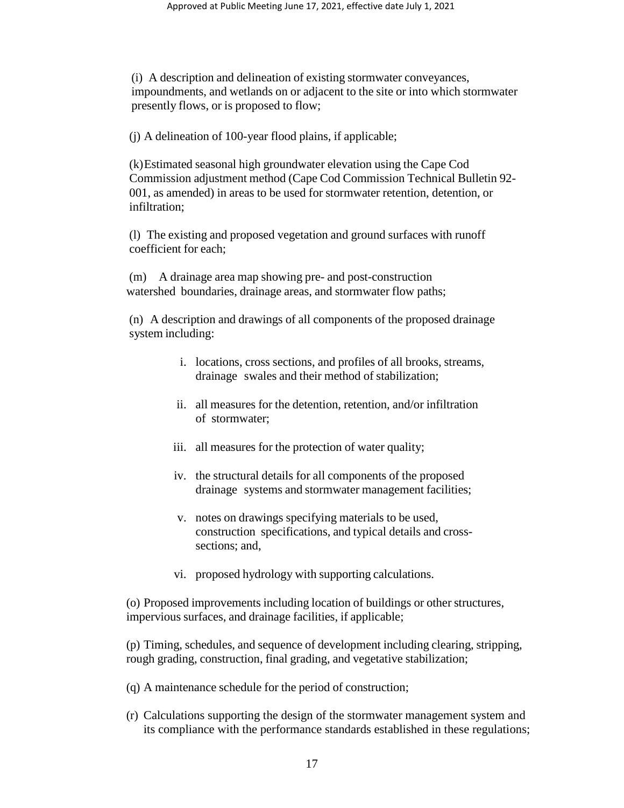(i) A description and delineation of existing stormwater conveyances, impoundments, and wetlands on or adjacent to the site or into which stormwater presently flows, or is proposed to flow;

(j) A delineation of 100-year flood plains, if applicable;

(k)Estimated seasonal high groundwater elevation using the Cape Cod Commission adjustment method (Cape Cod Commission Technical Bulletin 92- 001, as amended) in areas to be used for stormwater retention, detention, or infiltration;

(l) The existing and proposed vegetation and ground surfaces with runoff coefficient for each;

(m) A drainage area map showing pre- and post-construction watershed boundaries, drainage areas, and stormwater flow paths;

(n) A description and drawings of all components of the proposed drainage system including:

- i. locations, cross sections, and profiles of all brooks, streams, drainage swales and their method of stabilization;
- ii. all measures for the detention, retention, and/or infiltration of stormwater;
- iii. all measures for the protection of water quality;
- iv. the structural details for all components of the proposed drainage systems and stormwater management facilities;
- v. notes on drawings specifying materials to be used, construction specifications, and typical details and crosssections; and,
- vi. proposed hydrology with supporting calculations.

(o) Proposed improvements including location of buildings or other structures, impervious surfaces, and drainage facilities, if applicable;

(p) Timing, schedules, and sequence of development including clearing, stripping, rough grading, construction, final grading, and vegetative stabilization;

- (q) A maintenance schedule for the period of construction;
- (r) Calculations supporting the design of the stormwater management system and its compliance with the performance standards established in these regulations;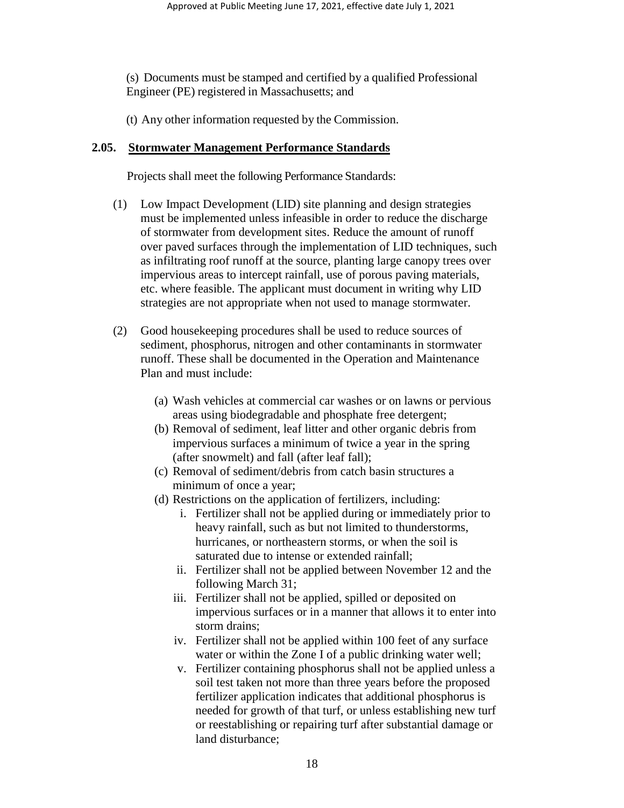(s) Documents must be stamped and certified by a qualified Professional Engineer (PE) registered in Massachusetts; and

(t) Any other information requested by the Commission.

## **2.05. Stormwater Management Performance Standards**

Projects shall meet the following Performance Standards:

- (1) Low Impact Development (LID) site planning and design strategies must be implemented unless infeasible in order to reduce the discharge of stormwater from development sites. Reduce the amount of runoff over paved surfaces through the implementation of LID techniques, such as infiltrating roof runoff at the source, planting large canopy trees over impervious areas to intercept rainfall, use of porous paving materials, etc. where feasible. The applicant must document in writing why LID strategies are not appropriate when not used to manage stormwater.
- (2) Good housekeeping procedures shall be used to reduce sources of sediment, phosphorus, nitrogen and other contaminants in stormwater runoff. These shall be documented in the Operation and Maintenance Plan and must include:
	- (a) Wash vehicles at commercial car washes or on lawns or pervious areas using biodegradable and phosphate free detergent;
	- (b) Removal of sediment, leaf litter and other organic debris from impervious surfaces a minimum of twice a year in the spring (after snowmelt) and fall (after leaf fall);
	- (c) Removal of sediment/debris from catch basin structures a minimum of once a year;
	- (d) Restrictions on the application of fertilizers, including:
		- i. Fertilizer shall not be applied during or immediately prior to heavy rainfall, such as but not limited to thunderstorms, hurricanes, or northeastern storms, or when the soil is saturated due to intense or extended rainfall;
		- ii. Fertilizer shall not be applied between November 12 and the following March 31;
		- iii. Fertilizer shall not be applied, spilled or deposited on impervious surfaces or in a manner that allows it to enter into storm drains;
		- iv. Fertilizer shall not be applied within 100 feet of any surface water or within the Zone I of a public drinking water well;
		- v. Fertilizer containing phosphorus shall not be applied unless a soil test taken not more than three years before the proposed fertilizer application indicates that additional phosphorus is needed for growth of that turf, or unless establishing new turf or reestablishing or repairing turf after substantial damage or land disturbance;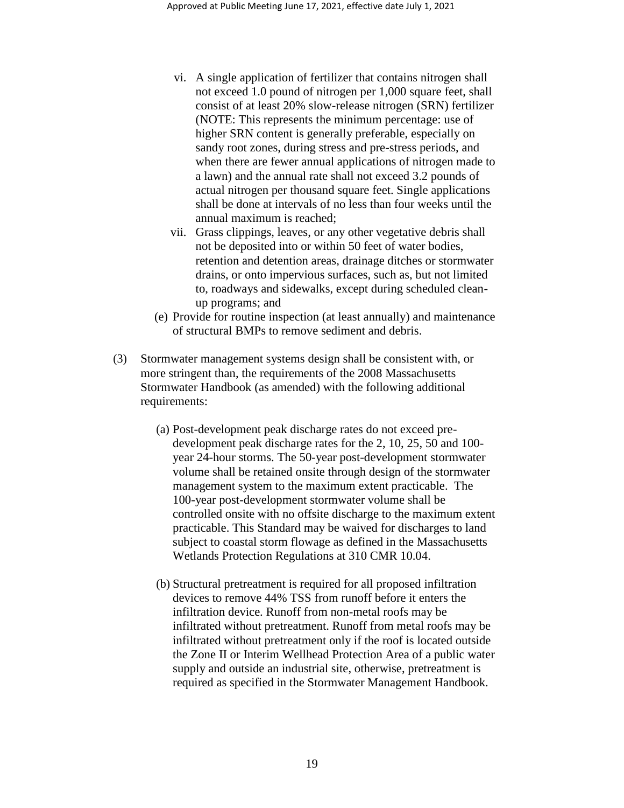- vi. A single application of fertilizer that contains nitrogen shall not exceed 1.0 pound of nitrogen per 1,000 square feet, shall consist of at least 20% slow-release nitrogen (SRN) fertilizer (NOTE: This represents the minimum percentage: use of higher SRN content is generally preferable, especially on sandy root zones, during stress and pre-stress periods, and when there are fewer annual applications of nitrogen made to a lawn) and the annual rate shall not exceed 3.2 pounds of actual nitrogen per thousand square feet. Single applications shall be done at intervals of no less than four weeks until the annual maximum is reached;
- vii. Grass clippings, leaves, or any other vegetative debris shall not be deposited into or within 50 feet of water bodies, retention and detention areas, drainage ditches or stormwater drains, or onto impervious surfaces, such as, but not limited to, roadways and sidewalks, except during scheduled cleanup programs; and
- (e) Provide for routine inspection (at least annually) and maintenance of structural BMPs to remove sediment and debris.
- (3) Stormwater management systems design shall be consistent with, or more stringent than, the requirements of the 2008 Massachusetts Stormwater Handbook (as amended) with the following additional requirements:
	- (a) Post-development peak discharge rates do not exceed predevelopment peak discharge rates for the 2, 10, 25, 50 and 100 year 24-hour storms. The 50-year post-development stormwater volume shall be retained onsite through design of the stormwater management system to the maximum extent practicable. The 100-year post-development stormwater volume shall be controlled onsite with no offsite discharge to the maximum extent practicable. This Standard may be waived for discharges to land subject to coastal storm flowage as defined in the Massachusetts Wetlands Protection Regulations at 310 CMR 10.04.
	- (b) Structural pretreatment is required for all proposed infiltration devices to remove 44% TSS from runoff before it enters the infiltration device. Runoff from non-metal roofs may be infiltrated without pretreatment. Runoff from metal roofs may be infiltrated without pretreatment only if the roof is located outside the Zone II or Interim Wellhead Protection Area of a public water supply and outside an industrial site, otherwise, pretreatment is required as specified in the Stormwater Management Handbook.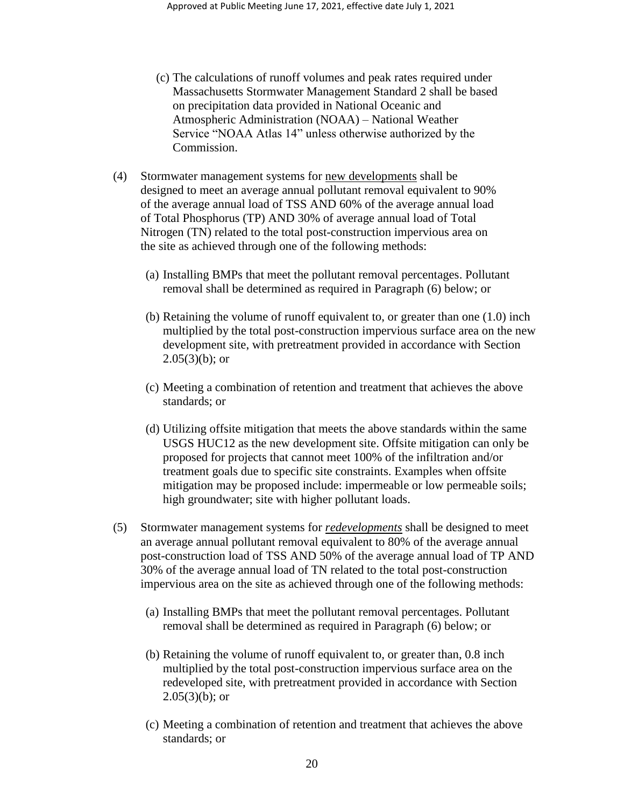- (c) The calculations of runoff volumes and peak rates required under Massachusetts Stormwater Management Standard 2 shall be based on precipitation data provided in National Oceanic and Atmospheric Administration (NOAA) – National Weather Service "NOAA Atlas 14" unless otherwise authorized by the Commission.
- (4) Stormwater management systems for new developments shall be designed to meet an average annual pollutant removal equivalent to 90% of the average annual load of TSS AND 60% of the average annual load of Total Phosphorus (TP) AND 30% of average annual load of Total Nitrogen (TN) related to the total post-construction impervious area on the site as achieved through one of the following methods:
	- (a) Installing BMPs that meet the pollutant removal percentages. Pollutant removal shall be determined as required in Paragraph (6) below; or
	- (b) Retaining the volume of runoff equivalent to, or greater than one (1.0) inch multiplied by the total post-construction impervious surface area on the new development site, with pretreatment provided in accordance with Section  $2.05(3)(b)$ ; or
	- (c) Meeting a combination of retention and treatment that achieves the above standards; or
	- (d) Utilizing offsite mitigation that meets the above standards within the same USGS HUC12 as the new development site. Offsite mitigation can only be proposed for projects that cannot meet 100% of the infiltration and/or treatment goals due to specific site constraints. Examples when offsite mitigation may be proposed include: impermeable or low permeable soils; high groundwater; site with higher pollutant loads.
- (5) Stormwater management systems for *redevelopments* shall be designed to meet an average annual pollutant removal equivalent to 80% of the average annual post-construction load of TSS AND 50% of the average annual load of TP AND 30% of the average annual load of TN related to the total post-construction impervious area on the site as achieved through one of the following methods:
	- (a) Installing BMPs that meet the pollutant removal percentages. Pollutant removal shall be determined as required in Paragraph (6) below; or
	- (b) Retaining the volume of runoff equivalent to, or greater than, 0.8 inch multiplied by the total post-construction impervious surface area on the redeveloped site, with pretreatment provided in accordance with Section  $2.05(3)(b)$ ; or
	- (c) Meeting a combination of retention and treatment that achieves the above standards; or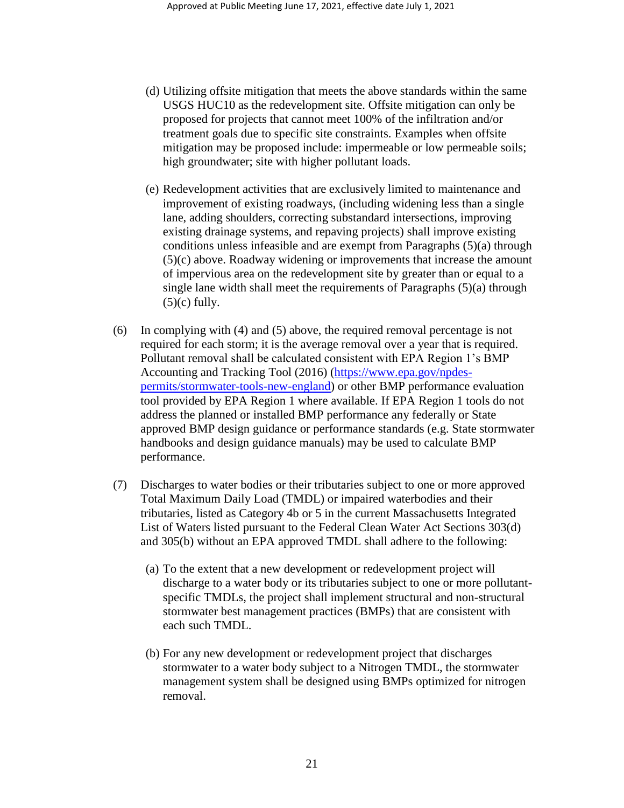- (d) Utilizing offsite mitigation that meets the above standards within the same USGS HUC10 as the redevelopment site. Offsite mitigation can only be proposed for projects that cannot meet 100% of the infiltration and/or treatment goals due to specific site constraints. Examples when offsite mitigation may be proposed include: impermeable or low permeable soils; high groundwater; site with higher pollutant loads.
- (e) Redevelopment activities that are exclusively limited to maintenance and improvement of existing roadways, (including widening less than a single lane, adding shoulders, correcting substandard intersections, improving existing drainage systems, and repaving projects) shall improve existing conditions unless infeasible and are exempt from Paragraphs (5)(a) through (5)(c) above. Roadway widening or improvements that increase the amount of impervious area on the redevelopment site by greater than or equal to a single lane width shall meet the requirements of Paragraphs (5)(a) through  $(5)(c)$  fully.
- (6) In complying with (4) and (5) above, the required removal percentage is not required for each storm; it is the average removal over a year that is required. Pollutant removal shall be calculated consistent with EPA Region 1's BMP Accounting and Tracking Tool (2016) [\(https://www.epa.gov/npdes](https://www.epa.gov/npdes-permits/stormwater-tools-new-england)[permits/stormwater-tools-new-england\)](https://www.epa.gov/npdes-permits/stormwater-tools-new-england) or other BMP performance evaluation tool provided by EPA Region 1 where available. If EPA Region 1 tools do not address the planned or installed BMP performance any federally or State approved BMP design guidance or performance standards (e.g. State stormwater handbooks and design guidance manuals) may be used to calculate BMP performance.
- (7) Discharges to water bodies or their tributaries subject to one or more approved Total Maximum Daily Load (TMDL) or impaired waterbodies and their tributaries, listed as Category 4b or 5 in the current Massachusetts Integrated List of Waters listed pursuant to the Federal Clean Water Act Sections 303(d) and 305(b) without an EPA approved TMDL shall adhere to the following:
	- (a) To the extent that a new development or redevelopment project will discharge to a water body or its tributaries subject to one or more pollutantspecific TMDLs, the project shall implement structural and non-structural stormwater best management practices (BMPs) that are consistent with each such TMDL.
	- (b) For any new development or redevelopment project that discharges stormwater to a water body subject to a Nitrogen TMDL, the stormwater management system shall be designed using BMPs optimized for nitrogen removal.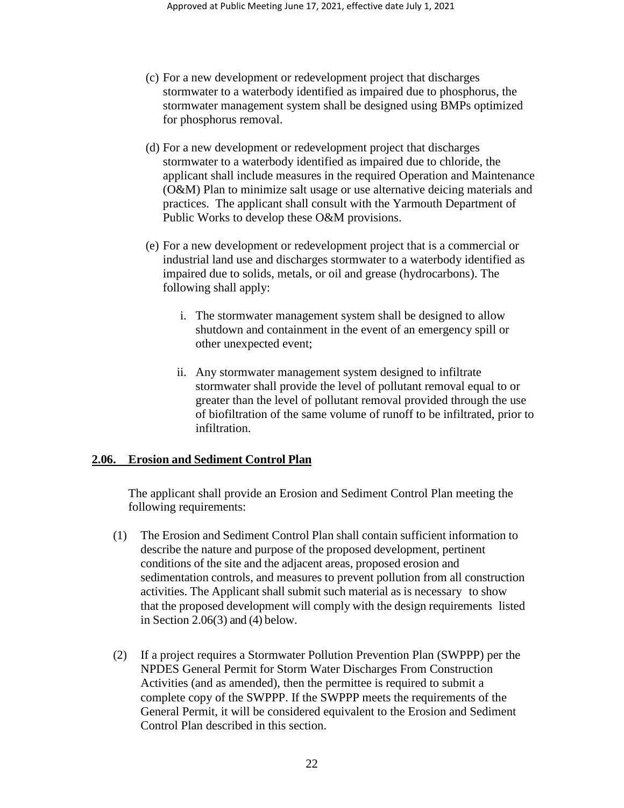- (c) For a new development or redevelopment project that discharges stormwater to a waterbody identified as impaired due to phosphorus, the stormwater management system shall be designed using BMPs optimized for phosphorus removal.
- (d) For a new development or redevelopment project that discharges stormwater to a waterbody identified as impaired due to chloride, the applicant shall include measures in the required Operation and Maintenance (O&M) Plan to minimize salt usage or use alternative deicing materials and practices. The applicant shall consult with the Yarmouth Department of Public Works to develop these O&M provisions.
- (e) For a new development or redevelopment project that is a commercial or industrial land use and discharges stormwater to a waterbody identified as impaired due to solids, metals, or oil and grease (hydrocarbons). The following shall apply:
	- i. The stormwater management system shall be designed to allow shutdown and containment in the event of an emergency spill or other unexpected event;
	- ii. Any stormwater management system designed to infiltrate stormwater shall provide the level of pollutant removal equal to or greater than the level of pollutant removal provided through the use of biofiltration of the same volume of runoff to be infiltrated, prior to infiltration.

### **2.06. Erosion and Sediment Control Plan**

The applicant shall provide an Erosion and Sediment Control Plan meeting the following requirements:

- (1) The Erosion and Sediment Control Plan shall contain sufficient information to describe the nature and purpose of the proposed development, pertinent conditions of the site and the adjacent areas, proposed erosion and sedimentation controls, and measures to prevent pollution from all construction activities. The Applicant shall submit such material as is necessary to show that the proposed development will comply with the design requirements listed in Section 2.06(3) and (4) below.
- (2) If a project requires a Stormwater Pollution Prevention Plan (SWPPP) per the NPDES General Permit for Storm Water Discharges From Construction Activities (and as amended), then the permittee is required to submit a complete copy of the SWPPP. If the SWPPP meets the requirements of the General Permit, it will be considered equivalent to the Erosion and Sediment Control Plan described in this section.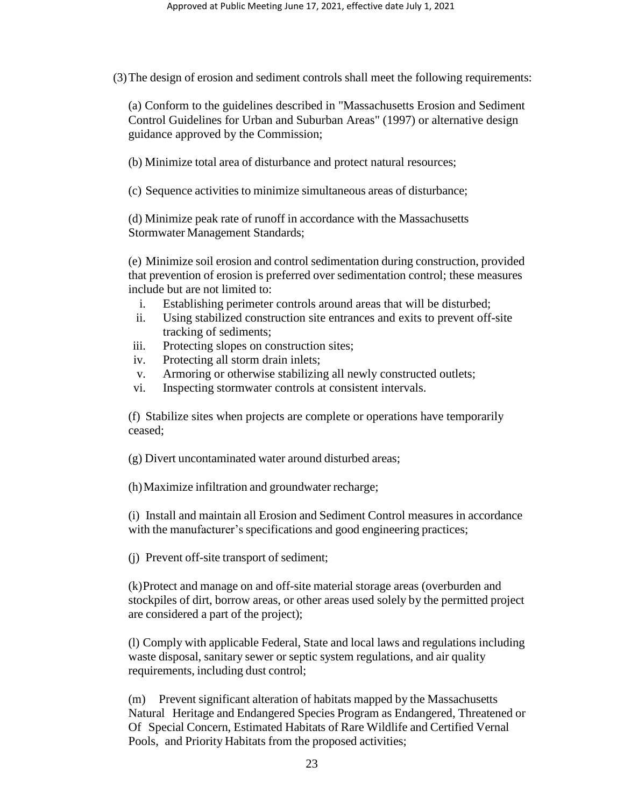(3)The design of erosion and sediment controls shall meet the following requirements:

(a) Conform to the guidelines described in "Massachusetts Erosion and Sediment Control Guidelines for Urban and Suburban Areas" (1997) or alternative design guidance approved by the Commission;

(b) Minimize total area of disturbance and protect natural resources;

(c) Sequence activities to minimize simultaneous areas of disturbance;

(d) Minimize peak rate of runoff in accordance with the Massachusetts Stormwater Management Standards;

(e) Minimize soil erosion and control sedimentation during construction, provided that prevention of erosion is preferred over sedimentation control; these measures include but are not limited to:

- i. Establishing perimeter controls around areas that will be disturbed;
- ii. Using stabilized construction site entrances and exits to prevent off-site tracking of sediments;
- iii. Protecting slopes on construction sites;
- iv. Protecting all storm drain inlets;
- v. Armoring or otherwise stabilizing all newly constructed outlets;
- vi. Inspecting stormwater controls at consistent intervals.

(f) Stabilize sites when projects are complete or operations have temporarily ceased;

(g) Divert uncontaminated water around disturbed areas;

(h)Maximize infiltration and groundwater recharge;

(i) Install and maintain all Erosion and Sediment Control measures in accordance with the manufacturer's specifications and good engineering practices;

(j) Prevent off-site transport of sediment;

(k)Protect and manage on and off-site material storage areas (overburden and stockpiles of dirt, borrow areas, or other areas used solely by the permitted project are considered a part of the project);

(l) Comply with applicable Federal, State and local laws and regulations including waste disposal, sanitary sewer or septic system regulations, and air quality requirements, including dust control;

(m) Prevent significant alteration of habitats mapped by the Massachusetts Natural Heritage and Endangered Species Program as Endangered, Threatened or Of Special Concern, Estimated Habitats of Rare Wildlife and Certified Vernal Pools, and Priority Habitats from the proposed activities;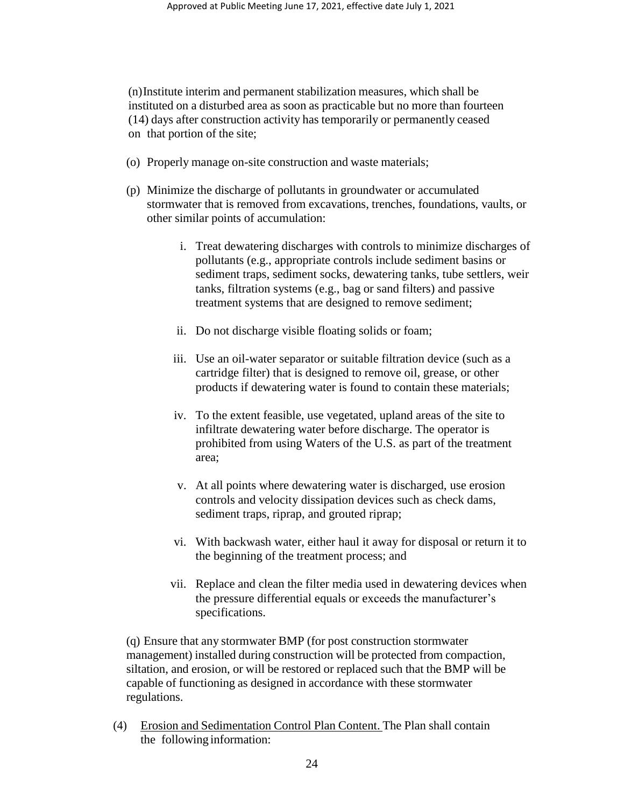(n)Institute interim and permanent stabilization measures, which shall be instituted on a disturbed area as soon as practicable but no more than fourteen (14) days after construction activity has temporarily or permanently ceased on that portion of the site;

- (o) Properly manage on-site construction and waste materials;
- (p) Minimize the discharge of pollutants in groundwater or accumulated stormwater that is removed from excavations, trenches, foundations, vaults, or other similar points of accumulation:
	- i. Treat dewatering discharges with controls to minimize discharges of pollutants (e.g., appropriate controls include sediment basins or sediment traps, sediment socks, dewatering tanks, tube settlers, weir tanks, filtration systems (e.g., bag or sand filters) and passive treatment systems that are designed to remove sediment;
	- ii. Do not discharge visible floating solids or foam;
	- iii. Use an oil-water separator or suitable filtration device (such as a cartridge filter) that is designed to remove oil, grease, or other products if dewatering water is found to contain these materials;
	- iv. To the extent feasible, use vegetated, upland areas of the site to infiltrate dewatering water before discharge. The operator is prohibited from using Waters of the U.S. as part of the treatment area;
	- v. At all points where dewatering water is discharged, use erosion controls and velocity dissipation devices such as check dams, sediment traps, riprap, and grouted riprap;
	- vi. With backwash water, either haul it away for disposal or return it to the beginning of the treatment process; and
	- vii. Replace and clean the filter media used in dewatering devices when the pressure differential equals or exceeds the manufacturer's specifications.

(q) Ensure that any stormwater BMP (for post construction stormwater management) installed during construction will be protected from compaction, siltation, and erosion, or will be restored or replaced such that the BMP will be capable of functioning as designed in accordance with these stormwater regulations.

(4) Erosion and Sedimentation Control Plan Content. The Plan shall contain the following information: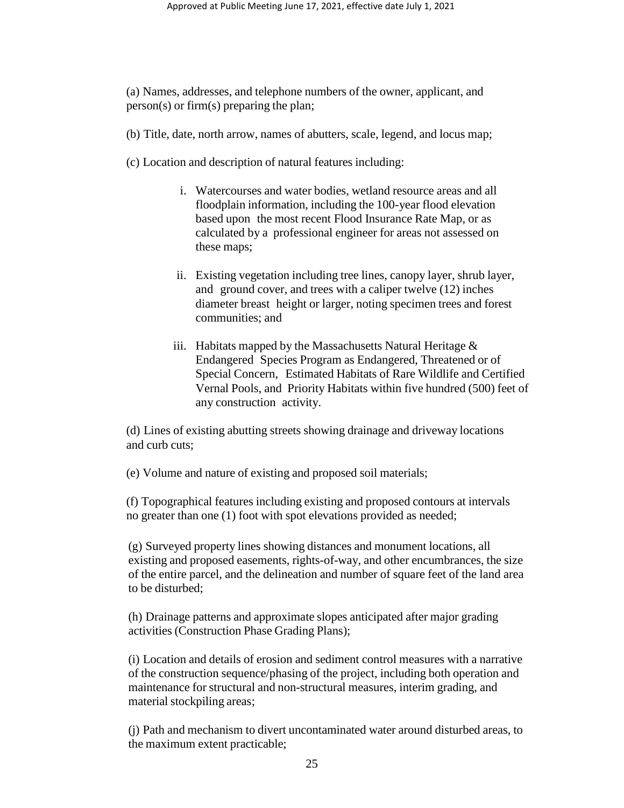(a) Names, addresses, and telephone numbers of the owner, applicant, and person(s) or firm(s) preparing the plan;

- (b) Title, date, north arrow, names of abutters, scale, legend, and locus map;
- (c) Location and description of natural features including:
	- i. Watercourses and water bodies, wetland resource areas and all floodplain information, including the 100-year flood elevation based upon the most recent Flood Insurance Rate Map, or as calculated by a professional engineer for areas not assessed on these maps;
	- ii. Existing vegetation including tree lines, canopy layer, shrub layer, and ground cover, and trees with a caliper twelve (12) inches diameter breast height or larger, noting specimen trees and forest communities; and
	- iii. Habitats mapped by the Massachusetts Natural Heritage  $\&$ Endangered Species Program as Endangered, Threatened or of Special Concern, Estimated Habitats of Rare Wildlife and Certified Vernal Pools, and Priority Habitats within five hundred (500) feet of any construction activity.

(d) Lines of existing abutting streets showing drainage and driveway locations and curb cuts;

(e) Volume and nature of existing and proposed soil materials;

(f) Topographical features including existing and proposed contours at intervals no greater than one (1) foot with spot elevations provided as needed;

(g) Surveyed property lines showing distances and monument locations, all existing and proposed easements, rights-of-way, and other encumbrances, the size of the entire parcel, and the delineation and number of square feet of the land area to be disturbed;

(h) Drainage patterns and approximate slopes anticipated after major grading activities (Construction Phase Grading Plans);

(i) Location and details of erosion and sediment control measures with a narrative of the construction sequence/phasing of the project, including both operation and maintenance for structural and non-structural measures, interim grading, and material stockpiling areas;

(j) Path and mechanism to divert uncontaminated water around disturbed areas, to the maximum extent practicable;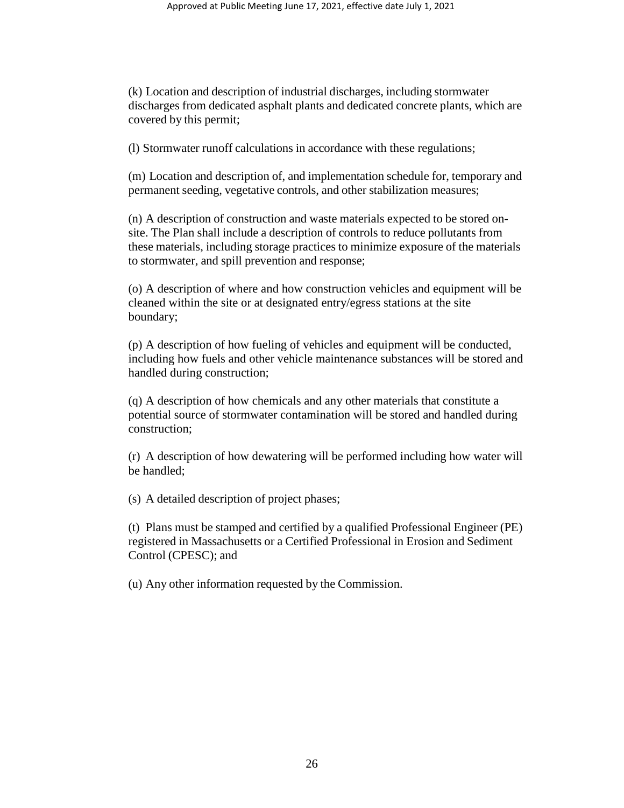(k) Location and description of industrial discharges, including stormwater discharges from dedicated asphalt plants and dedicated concrete plants, which are covered by this permit;

(l) Stormwater runoff calculations in accordance with these regulations;

(m) Location and description of, and implementation schedule for, temporary and permanent seeding, vegetative controls, and other stabilization measures;

(n) A description of construction and waste materials expected to be stored onsite. The Plan shall include a description of controls to reduce pollutants from these materials, including storage practices to minimize exposure of the materials to stormwater, and spill prevention and response;

(o) A description of where and how construction vehicles and equipment will be cleaned within the site or at designated entry/egress stations at the site boundary;

(p) A description of how fueling of vehicles and equipment will be conducted, including how fuels and other vehicle maintenance substances will be stored and handled during construction;

(q) A description of how chemicals and any other materials that constitute a potential source of stormwater contamination will be stored and handled during construction;

(r) A description of how dewatering will be performed including how water will be handled;

(s) A detailed description of project phases;

(t) Plans must be stamped and certified by a qualified Professional Engineer (PE) registered in Massachusetts or a Certified Professional in Erosion and Sediment Control (CPESC); and

(u) Any other information requested by the Commission.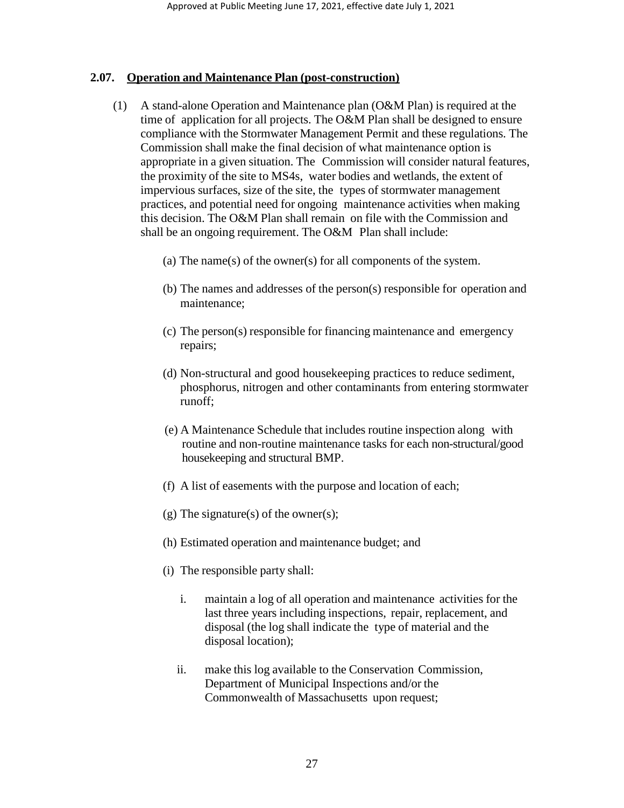#### **2.07. Operation and Maintenance Plan (post-construction)**

- (1) A stand-alone Operation and Maintenance plan (O&M Plan) is required at the time of application for all projects. The O&M Plan shall be designed to ensure compliance with the Stormwater Management Permit and these regulations. The Commission shall make the final decision of what maintenance option is appropriate in a given situation. The Commission will consider natural features, the proximity of the site to MS4s, water bodies and wetlands, the extent of impervious surfaces, size of the site, the types of stormwater management practices, and potential need for ongoing maintenance activities when making this decision. The O&M Plan shall remain on file with the Commission and shall be an ongoing requirement. The O&M Plan shall include:
	- (a) The name(s) of the owner(s) for all components of the system.
	- (b) The names and addresses of the person(s) responsible for operation and maintenance;
	- (c) The person(s) responsible for financing maintenance and emergency repairs;
	- (d) Non-structural and good housekeeping practices to reduce sediment, phosphorus, nitrogen and other contaminants from entering stormwater runoff;
	- (e) A Maintenance Schedule that includes routine inspection along with routine and non-routine maintenance tasks for each non-structural/good housekeeping and structural BMP.
	- (f) A list of easements with the purpose and location of each;
	- (g) The signature(s) of the owner(s);
	- (h) Estimated operation and maintenance budget; and
	- (i) The responsible party shall:
		- i. maintain a log of all operation and maintenance activities for the last three years including inspections, repair, replacement, and disposal (the log shall indicate the type of material and the disposal location);
		- ii. make this log available to the Conservation Commission, Department of Municipal Inspections and/or the Commonwealth of Massachusetts upon request;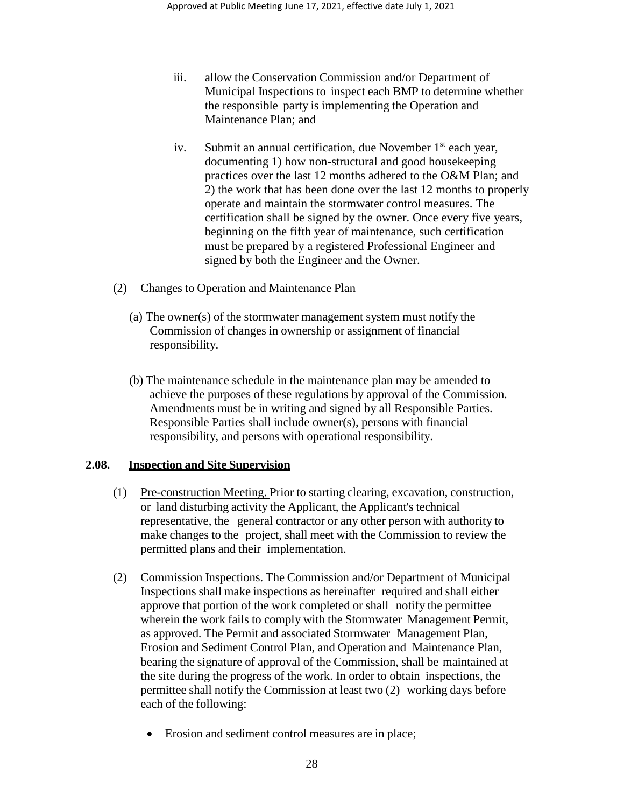- iii. allow the Conservation Commission and/or Department of Municipal Inspections to inspect each BMP to determine whether the responsible party is implementing the Operation and Maintenance Plan; and
- iv. Submit an annual certification, due November  $1<sup>st</sup>$  each year, documenting 1) how non-structural and good housekeeping practices over the last 12 months adhered to the O&M Plan; and 2) the work that has been done over the last 12 months to properly operate and maintain the stormwater control measures. The certification shall be signed by the owner. Once every five years, beginning on the fifth year of maintenance, such certification must be prepared by a registered Professional Engineer and signed by both the Engineer and the Owner.
- (2) Changes to Operation and Maintenance Plan
	- (a) The owner(s) of the stormwater management system must notify the Commission of changes in ownership or assignment of financial responsibility.
	- (b) The maintenance schedule in the maintenance plan may be amended to achieve the purposes of these regulations by approval of the Commission. Amendments must be in writing and signed by all Responsible Parties. Responsible Parties shall include owner(s), persons with financial responsibility, and persons with operational responsibility.

# **2.08. Inspection and Site Supervision**

- (1) Pre-construction Meeting. Prior to starting clearing, excavation, construction, or land disturbing activity the Applicant, the Applicant's technical representative, the general contractor or any other person with authority to make changes to the project, shall meet with the Commission to review the permitted plans and their implementation.
- (2) Commission Inspections. The Commission and/or Department of Municipal Inspections shall make inspections as hereinafter required and shall either approve that portion of the work completed or shall notify the permittee wherein the work fails to comply with the Stormwater Management Permit, as approved. The Permit and associated Stormwater Management Plan, Erosion and Sediment Control Plan, and Operation and Maintenance Plan, bearing the signature of approval of the Commission, shall be maintained at the site during the progress of the work. In order to obtain inspections, the permittee shall notify the Commission at least two (2) working days before each of the following:
	- Erosion and sediment control measures are in place;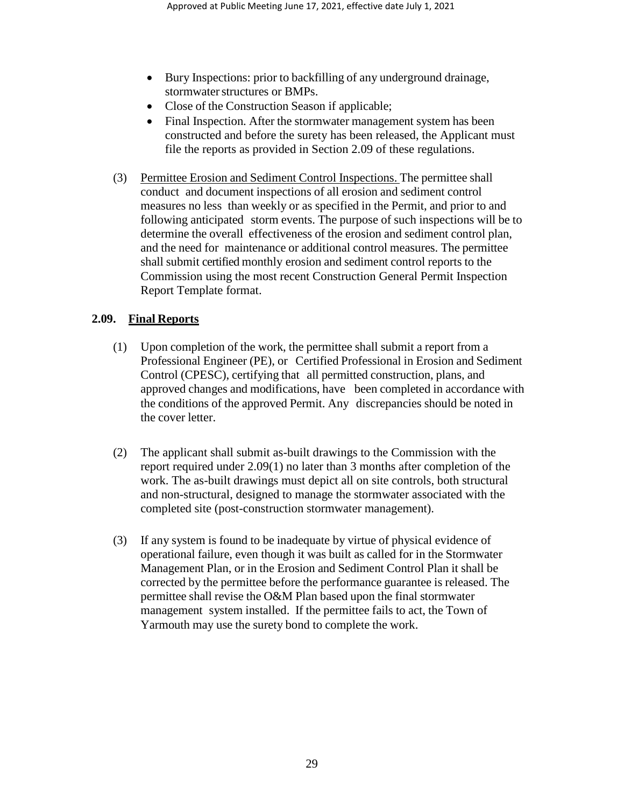- Bury Inspections: prior to backfilling of any underground drainage, stormwater structures or BMPs.
- Close of the Construction Season if applicable;
- Final Inspection. After the stormwater management system has been constructed and before the surety has been released, the Applicant must file the reports as provided in Section 2.09 of these regulations.
- (3) Permittee Erosion and Sediment Control Inspections. The permittee shall conduct and document inspections of all erosion and sediment control measures no less than weekly or as specified in the Permit, and prior to and following anticipated storm events. The purpose of such inspections will be to determine the overall effectiveness of the erosion and sediment control plan, and the need for maintenance or additional control measures. The permittee shall submit certified monthly erosion and sediment control reports to the Commission using the most recent Construction General Permit Inspection Report Template format.

# **2.09. Final Reports**

- (1) Upon completion of the work, the permittee shall submit a report from a Professional Engineer (PE), or Certified Professional in Erosion and Sediment Control (CPESC), certifying that all permitted construction, plans, and approved changes and modifications, have been completed in accordance with the conditions of the approved Permit. Any discrepancies should be noted in the cover letter.
- (2) The applicant shall submit as-built drawings to the Commission with the report required under 2.09(1) no later than 3 months after completion of the work. The as-built drawings must depict all on site controls, both structural and non-structural, designed to manage the stormwater associated with the completed site (post-construction stormwater management).
- (3) If any system is found to be inadequate by virtue of physical evidence of operational failure, even though it was built as called for in the Stormwater Management Plan, or in the Erosion and Sediment Control Plan it shall be corrected by the permittee before the performance guarantee is released. The permittee shall revise the O&M Plan based upon the final stormwater management system installed. If the permittee fails to act, the Town of Yarmouth may use the surety bond to complete the work.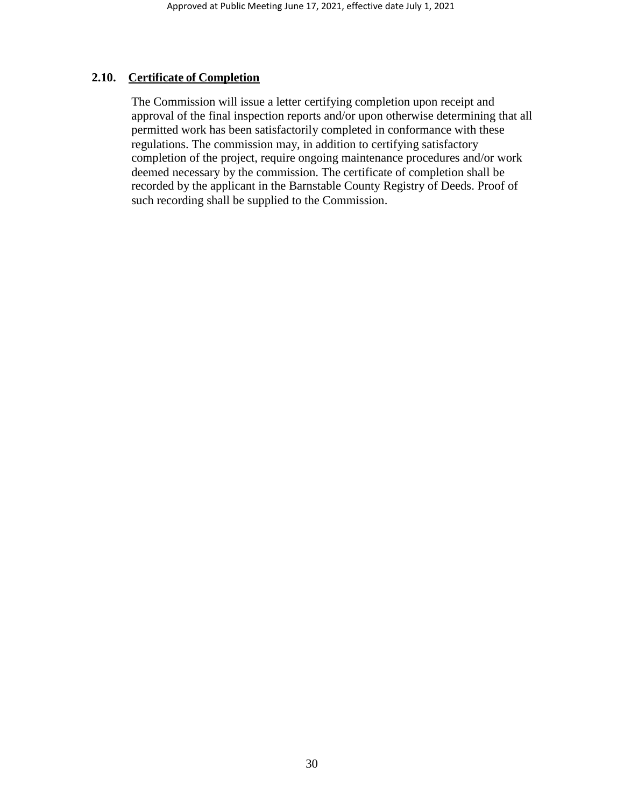## **2.10. Certificate of Completion**

The Commission will issue a letter certifying completion upon receipt and approval of the final inspection reports and/or upon otherwise determining that all permitted work has been satisfactorily completed in conformance with these regulations. The commission may, in addition to certifying satisfactory completion of the project, require ongoing maintenance procedures and/or work deemed necessary by the commission. The certificate of completion shall be recorded by the applicant in the Barnstable County Registry of Deeds. Proof of such recording shall be supplied to the Commission.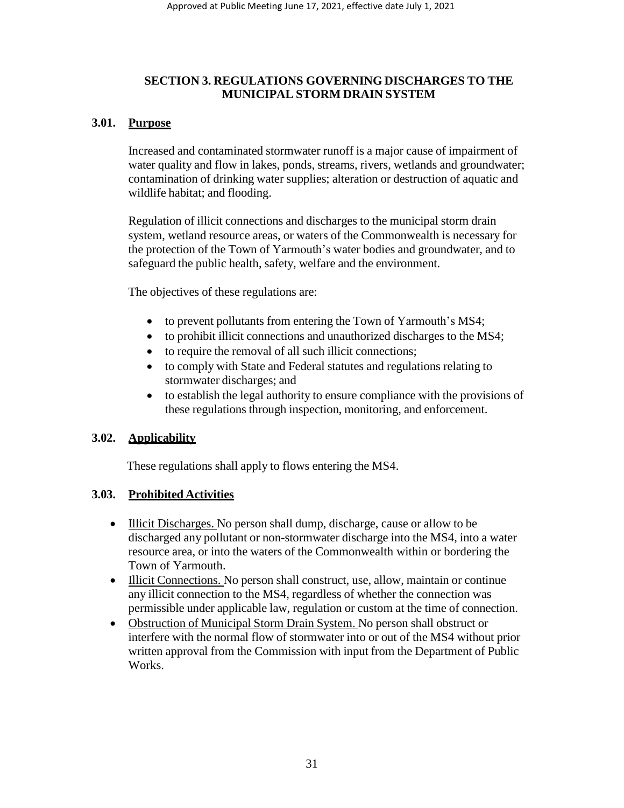# **SECTION 3. REGULATIONS GOVERNING DISCHARGES TO THE MUNICIPAL STORM DRAIN SYSTEM**

# **3.01. Purpose**

Increased and contaminated stormwater runoff is a major cause of impairment of water quality and flow in lakes, ponds, streams, rivers, wetlands and groundwater; contamination of drinking water supplies; alteration or destruction of aquatic and wildlife habitat; and flooding.

Regulation of illicit connections and discharges to the municipal storm drain system, wetland resource areas, or waters of the Commonwealth is necessary for the protection of the Town of Yarmouth's water bodies and groundwater, and to safeguard the public health, safety, welfare and the environment.

The objectives of these regulations are:

- to prevent pollutants from entering the Town of Yarmouth's MS4;
- to prohibit illicit connections and unauthorized discharges to the MS4;
- to require the removal of all such illicit connections;
- to comply with State and Federal statutes and regulations relating to stormwater discharges; and
- to establish the legal authority to ensure compliance with the provisions of these regulations through inspection, monitoring, and enforcement.

# **3.02. Applicability**

These regulations shall apply to flows entering the MS4.

# **3.03. Prohibited Activities**

- Illicit Discharges. No person shall dump, discharge, cause or allow to be discharged any pollutant or non-stormwater discharge into the MS4, into a water resource area, or into the waters of the Commonwealth within or bordering the Town of Yarmouth.
- Illicit Connections. No person shall construct, use, allow, maintain or continue any illicit connection to the MS4, regardless of whether the connection was permissible under applicable law, regulation or custom at the time of connection.
- Obstruction of Municipal Storm Drain System. No person shall obstruct or interfere with the normal flow of stormwater into or out of the MS4 without prior written approval from the Commission with input from the Department of Public Works.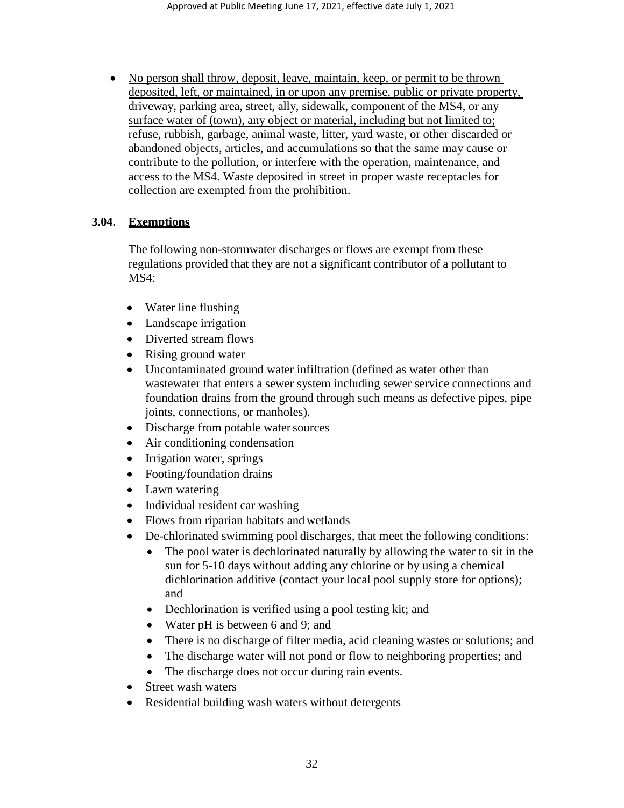• No person shall throw, deposit, leave, maintain, keep, or permit to be thrown deposited, left, or maintained, in or upon any premise, public or private property, driveway, parking area, street, ally, sidewalk, component of the MS4, or any surface water of (town), any object or material, including but not limited to; refuse, rubbish, garbage, animal waste, litter, yard waste, or other discarded or abandoned objects, articles, and accumulations so that the same may cause or contribute to the pollution, or interfere with the operation, maintenance, and access to the MS4. Waste deposited in street in proper waste receptacles for collection are exempted from the prohibition.

## **3.04. Exemptions**

The following non-stormwater discharges or flows are exempt from these regulations provided that they are not a significant contributor of a pollutant to MS4:

- Water line flushing
- Landscape irrigation
- Diverted stream flows
- Rising ground water
- Uncontaminated ground water infiltration (defined as water other than wastewater that enters a sewer system including sewer service connections and foundation drains from the ground through such means as defective pipes, pipe joints, connections, or manholes).
- Discharge from potable water sources
- Air conditioning condensation
- Irrigation water, springs
- Footing/foundation drains
- Lawn watering
- Individual resident car washing
- Flows from riparian habitats and wetlands
- De-chlorinated swimming pool discharges, that meet the following conditions:
	- The pool water is dechlorinated naturally by allowing the water to sit in the sun for 5-10 days without adding any chlorine or by using a chemical dichlorination additive (contact your local pool supply store for options); and
	- Dechlorination is verified using a pool testing kit; and
	- Water pH is between 6 and 9; and
	- There is no discharge of filter media, acid cleaning wastes or solutions; and
	- The discharge water will not pond or flow to neighboring properties; and
	- The discharge does not occur during rain events.
- Street wash waters
- Residential building wash waters without detergents